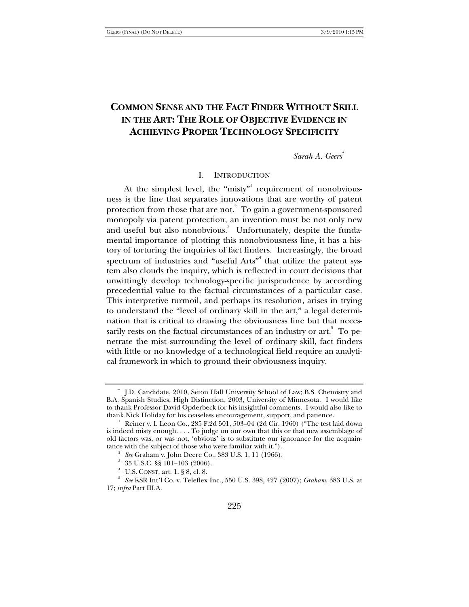# **COMMON SENSE AND THE FACT FINDER WITHOUT SKILL IN THE ART: THE ROLE OF OBJECTIVE EVIDENCE IN ACHIEVING PROPER TECHNOLOGY SPECIFICITY**

*Sarah A. Geers*<sup>∗</sup>

#### I. INTRODUCTION

At the simplest level, the "misty" requirement of nonobviousness is the line that separates innovations that are worthy of patent protection from those that are not.<sup>2</sup> To gain a government-sponsored monopoly via patent protection, an invention must be not only new and useful but also nonobvious.<sup>3</sup> Unfortunately, despite the fundamental importance of plotting this nonobviousness line, it has a history of torturing the inquiries of fact finders. Increasingly, the broad spectrum of industries and "useful Arts"<sup>4</sup> that utilize the patent system also clouds the inquiry, which is reflected in court decisions that unwittingly develop technology-specific jurisprudence by according precedential value to the factual circumstances of a particular case. This interpretive turmoil, and perhaps its resolution, arises in trying to understand the "level of ordinary skill in the art," a legal determination that is critical to drawing the obviousness line but that necessarily rests on the factual circumstances of an industry or  $\arct{\iota}^5$  To penetrate the mist surrounding the level of ordinary skill, fact finders with little or no knowledge of a technological field require an analytical framework in which to ground their obviousness inquiry.

<sup>∗</sup> J.D. Candidate, 2010, Seton Hall University School of Law; B.S. Chemistry and B.A. Spanish Studies, High Distinction, 2003, University of Minnesota. I would like to thank Professor David Opderbeck for his insightful comments. I would also like to thank Nick Holiday for his ceaseless encouragement, support, and patience. 1

Reiner v. I. Leon Co., 285 F.2d 501, 503–04 (2d Cir. 1960) ("The test laid down is indeed misty enough. . . . To judge on our own that this or that new assemblage of old factors was, or was not, 'obvious' is to substitute our ignorance for the acquaintance with the subject of those who were familiar with it."). 2

*See* Graham v. John Deere Co., 383 U.S. 1, 11 (1966).

 $35$  U.S.C. §§ 101-103 (2006).

U.S. CONST. art. 1, § 8, cl. 8.

*See* KSR Int'l Co. v. Teleflex Inc., 550 U.S. 398, 427 (2007); *Graham*, 383 U.S. at 17; *infra* Part III.A.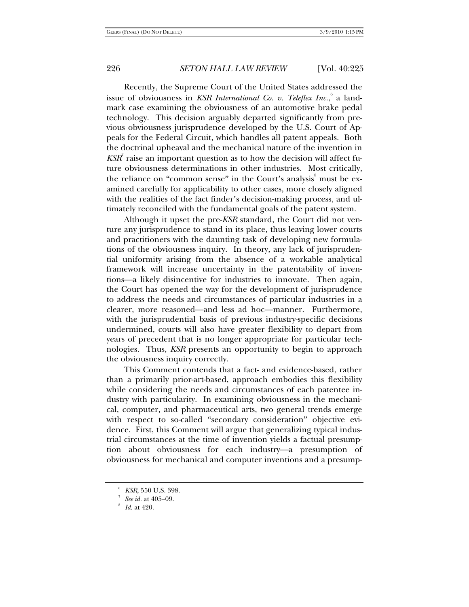Recently, the Supreme Court of the United States addressed the issue of obviousness in *KSR International Co. v. Teleflex Inc.*, <sup>6</sup> a landmark case examining the obviousness of an automotive brake pedal technology. This decision arguably departed significantly from previous obviousness jurisprudence developed by the U.S. Court of Appeals for the Federal Circuit, which handles all patent appeals. Both the doctrinal upheaval and the mechanical nature of the invention in  $K\!S\!R\!T}^{\!\top}$  raise an important question as to how the decision will affect future obviousness determinations in other industries. Most critically, the reliance on "common sense" in the Court's analysis<sup>8</sup> must be examined carefully for applicability to other cases, more closely aligned with the realities of the fact finder's decision-making process, and ultimately reconciled with the fundamental goals of the patent system.

Although it upset the pre-*KSR* standard, the Court did not venture any jurisprudence to stand in its place, thus leaving lower courts and practitioners with the daunting task of developing new formulations of the obviousness inquiry. In theory, any lack of jurisprudential uniformity arising from the absence of a workable analytical framework will increase uncertainty in the patentability of inventions—a likely disincentive for industries to innovate. Then again, the Court has opened the way for the development of jurisprudence to address the needs and circumstances of particular industries in a clearer, more reasoned—and less ad hoc—manner. Furthermore, with the jurisprudential basis of previous industry-specific decisions undermined, courts will also have greater flexibility to depart from years of precedent that is no longer appropriate for particular technologies. Thus, *KSR* presents an opportunity to begin to approach the obviousness inquiry correctly.

This Comment contends that a fact- and evidence-based, rather than a primarily prior-art-based, approach embodies this flexibility while considering the needs and circumstances of each patentee industry with particularity. In examining obviousness in the mechanical, computer, and pharmaceutical arts, two general trends emerge with respect to so-called "secondary consideration" objective evidence. First, this Comment will argue that generalizing typical industrial circumstances at the time of invention yields a factual presumption about obviousness for each industry—a presumption of obviousness for mechanical and computer inventions and a presump-

 $KSR$ , 550 U.S. 398.

*See id.* at 405–09.

*Id.* at 420.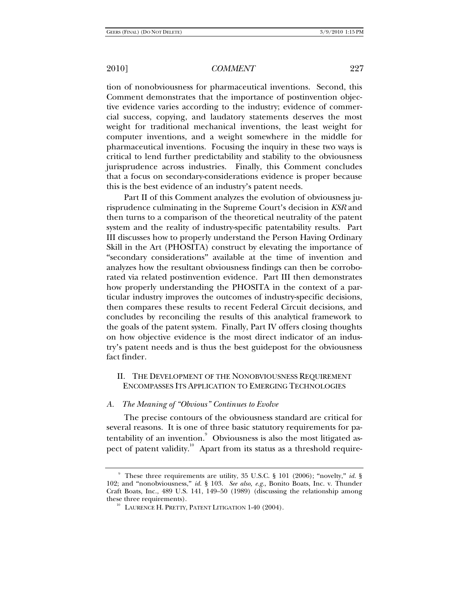tion of nonobviousness for pharmaceutical inventions. Second, this Comment demonstrates that the importance of postinvention objective evidence varies according to the industry; evidence of commercial success, copying, and laudatory statements deserves the most weight for traditional mechanical inventions, the least weight for computer inventions, and a weight somewhere in the middle for pharmaceutical inventions. Focusing the inquiry in these two ways is critical to lend further predictability and stability to the obviousness jurisprudence across industries. Finally, this Comment concludes that a focus on secondary-considerations evidence is proper because this is the best evidence of an industry's patent needs.

Part II of this Comment analyzes the evolution of obviousness jurisprudence culminating in the Supreme Court's decision in *KSR* and then turns to a comparison of the theoretical neutrality of the patent system and the reality of industry-specific patentability results. Part III discusses how to properly understand the Person Having Ordinary Skill in the Art (PHOSITA) construct by elevating the importance of "secondary considerations" available at the time of invention and analyzes how the resultant obviousness findings can then be corroborated via related postinvention evidence. Part III then demonstrates how properly understanding the PHOSITA in the context of a particular industry improves the outcomes of industry-specific decisions, then compares these results to recent Federal Circuit decisions, and concludes by reconciling the results of this analytical framework to the goals of the patent system. Finally, Part IV offers closing thoughts on how objective evidence is the most direct indicator of an industry's patent needs and is thus the best guidepost for the obviousness fact finder.

## II. THE DEVELOPMENT OF THE NONOBVIOUSNESS REQUIREMENT ENCOMPASSES ITS APPLICATION TO EMERGING TECHNOLOGIES

### *A. The Meaning of "Obvious" Continues to Evolve*

The precise contours of the obviousness standard are critical for several reasons. It is one of three basic statutory requirements for patentability of an invention.<sup>9</sup> Obviousness is also the most litigated aspect of patent validity.<sup>10</sup> Apart from its status as a threshold require-

<sup>9</sup> These three requirements are utility, 35 U.S.C. § 101 (2006); "novelty," *id.* § 102; and "nonobviousness," *id.* § 103. *See also, e.g.*, Bonito Boats, Inc. v. Thunder Craft Boats, Inc., 489 U.S. 141, 149–50 (1989) (discussing the relationship among these three requirements).<br><sup>10</sup> LAURENCE H. PRETTY, PATENT LITIGATION 1-40 (2004).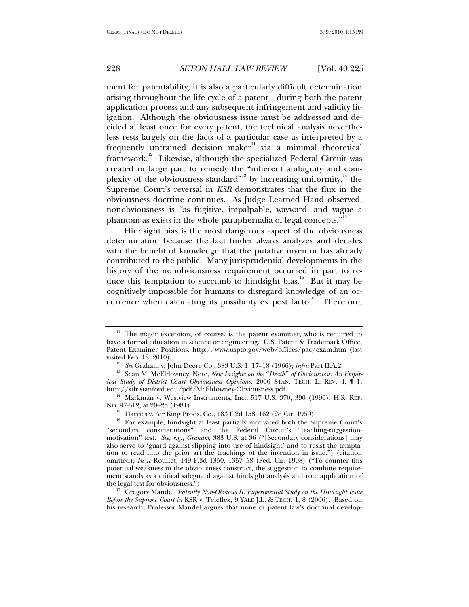ment for patentability, it is also a particularly difficult determination arising throughout the life cycle of a patent—during both the patent application process and any subsequent infringement and validity litigation. Although the obviousness issue must be addressed and decided at least once for every patent, the technical analysis nevertheless rests largely on the facts of a particular case as interpreted by a frequently untrained decision maker<sup>11</sup> via a minimal theoretical framework.12 Likewise, although the specialized Federal Circuit was created in large part to remedy the "inherent ambiguity and complexity of the obviousness standard"<sup>13</sup> by increasing uniformity, $14$  the Supreme Court's reversal in *KSR* demonstrates that the flux in the obviousness doctrine continues. As Judge Learned Hand observed, nonobviousness is "as fugitive, impalpable, wayward, and vague a phantom as exists in the whole paraphernalia of legal concepts. $\cdot^{\cdot^{15}}$ 

Hindsight bias is the most dangerous aspect of the obviousness determination because the fact finder always analyzes and decides with the benefit of knowledge that the putative inventor has already contributed to the public. Many jurisprudential developments in the history of the nonobviousness requirement occurred in part to reduce this temptation to succumb to hindsight bias.<sup>16</sup> But it may be cognitively impossible for humans to disregard knowledge of an occurrence when calculating its possibility ex post facto.<sup>17</sup> Therefore,

 $11$  The major exception, of course, is the patent examiner, who is required to have a formal education in science or engineering. U.S. Patent & Trademark Office, Patent Examiner Positions, http://www.uspto.gov/web/offices/pac/exam.htm (last

<sup>&</sup>lt;sup>12</sup> See Graham v. John Deere Co., 383 U.S. 1, 17–18 (1966); *infra* Part II.A.2.<br><sup>13</sup> Sean M. McEldowney, Note, *New Insights on the "Death" of Obviousness: An Empirical Study of District Court Obviousness Opinions*, 2006 STAN. TECH. L. REV. 4,  $\P$  1, http://stlr.stanford.edu/pdf/McEldowney-Obviousness.pdf.

<sup>&</sup>lt;sup>14</sup> Markman v. Westview Instruments, Inc., 517 U.S. 370, 390 (1996); H.R. REP. No. 97-312, at 20–23 (1981).

<sup>&</sup>lt;sup>15</sup> Harries v. Air King Prods. Co., 183 F.2d 158, 162 (2d Cir. 1950).

<sup>&</sup>lt;sup>16</sup> For example, hindsight at least partially motivated both the Supreme Court's "secondary considerations" and the Federal Circuit's "teaching-suggestionmotivation" test. *See, e.g.*, *Graham*, 383 U.S. at 36 ("[Secondary considerations] may also serve to 'guard against slipping into use of hindsight' and to resist the temptation to read into the prior art the teachings of the invention in issue.") (citation omitted); *In re* Rouffet, 149 F.3d 1350, 1357–58 (Fed. Cir. 1998) ("To counter this potential weakness in the obviousness construct, the suggestion to combine requirement stands as a critical safeguard against hindsight analysis and rote application of

<sup>&</sup>lt;sup>17</sup> Gregory Mandel, *Patently Non-Obvious II: Experimental Study on the Hindsight Issue Before the Supreme Court in* KSR v. Teleflex, 9 YALE J.L. & TECH. 1, 8 (2006). Based on his research, Professor Mandel argues that none of patent law's doctrinal develop-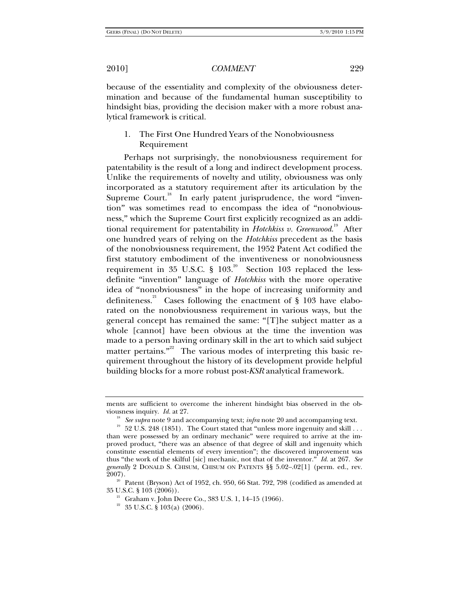because of the essentiality and complexity of the obviousness determination and because of the fundamental human susceptibility to hindsight bias, providing the decision maker with a more robust analytical framework is critical.

# 1. The First One Hundred Years of the Nonobviousness Requirement

Perhaps not surprisingly, the nonobviousness requirement for patentability is the result of a long and indirect development process. Unlike the requirements of novelty and utility, obviousness was only incorporated as a statutory requirement after its articulation by the Supreme Court.<sup>18</sup> In early patent jurisprudence, the word "invention" was sometimes read to encompass the idea of "nonobviousness," which the Supreme Court first explicitly recognized as an additional requirement for patentability in *Hotchkiss v. Greenwood*. 19 After one hundred years of relying on the *Hotchkiss* precedent as the basis of the nonobviousness requirement, the 1952 Patent Act codified the first statutory embodiment of the inventiveness or nonobviousness requirement in 35 U.S.C.  $\S$  103.<sup>20</sup> Section 103 replaced the lessdefinite "invention" language of *Hotchkiss* with the more operative idea of "nonobviousness" in the hope of increasing uniformity and definiteness.<sup>21</sup> Cases following the enactment of  $\S$  103 have elaborated on the nonobviousness requirement in various ways, but the general concept has remained the same: "[T]he subject matter as a whole [cannot] have been obvious at the time the invention was made to a person having ordinary skill in the art to which said subject matter pertains."<sup>22</sup> The various modes of interpreting this basic requirement throughout the history of its development provide helpful building blocks for a more robust post-*KSR* analytical framework.

ments are sufficient to overcome the inherent hindsight bias observed in the ob-

viousness inquiry. *Id.* at 27.<br><sup>18</sup> See supra note 9 and accompanying text; *infra* note 20 and accompanying text.<br><sup>19</sup> 52 U.S. 248 (1851). The Court stated that "unless more ingenuity and skill . . . than were possessed by an ordinary mechanic" were required to arrive at the improved product, "there was an absence of that degree of skill and ingenuity which constitute essential elements of every invention"; the discovered improvement was thus "the work of the skilful [sic] mechanic, not that of the inventor." *Id.* at 267. *See generally* 2 DONALD S. CHISUM, CHISUM ON PATENTS §§ 5.02–.02[1] (perm. ed., rev.

<sup>2007). &</sup>lt;sup>20</sup> Patent (Bryson) Act of 1952, ch. 950, 66 Stat. 792, 798 (codified as amended at 35 U.S.C. § 103 (2006)).

<sup>&</sup>lt;sup>21</sup> Graham v. John Deere Co., 383 U.S. 1, 14–15 (1966).<br><sup>22</sup> 35 U.S.C. § 103(a) (2006).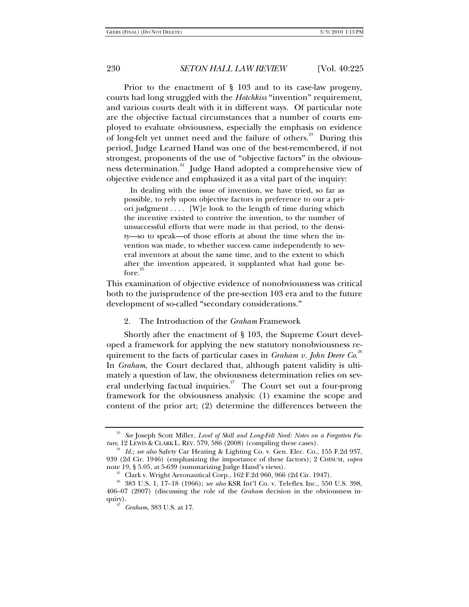Prior to the enactment of § 103 and to its case-law progeny, courts had long struggled with the *Hotchkiss* "invention" requirement, and various courts dealt with it in different ways. Of particular note are the objective factual circumstances that a number of courts employed to evaluate obviousness, especially the emphasis on evidence of long-felt yet unmet need and the failure of others.<sup>23</sup> During this period, Judge Learned Hand was one of the best-remembered, if not strongest, proponents of the use of "objective factors" in the obviousness determination.<sup>24</sup> Judge Hand adopted a comprehensive view of objective evidence and emphasized it as a vital part of the inquiry:

 In dealing with the issue of invention, we have tried, so far as possible, to rely upon objective factors in preference to our a priori judgment . . . . [W]e look to the length of time during which the incentive existed to contrive the invention, to the number of unsuccessful efforts that were made in that period, to the density—so to speak—of those efforts at about the time when the invention was made, to whether success came independently to several inventors at about the same time, and to the extent to which after the invention appeared, it supplanted what had gone before.

This examination of objective evidence of nonobviousness was critical both to the jurisprudence of the pre-section 103 era and to the future development of so-called "secondary considerations."

#### 2. The Introduction of the *Graham* Framework

Shortly after the enactment of § 103, the Supreme Court developed a framework for applying the new statutory nonobviousness requirement to the facts of particular cases in *Graham v. John Deere Co*. 26 In *Graham*, the Court declared that, although patent validity is ultimately a question of law, the obviousness determination relies on several underlying factual inquiries.<sup>27</sup> The Court set out a four-prong framework for the obviousness analysis: (1) examine the scope and content of the prior art; (2) determine the differences between the

<sup>&</sup>lt;sup>23</sup> *See* Joseph Scott Miller, *Level of Skill and Long-Felt Need: Notes on a Forgotten Future,* 12 LEWIS & CLARK L. REV. 579, 586 (2008) (compiling these cases).

<sup>&</sup>lt;sup>24</sup> Id.; see also Safety Car Heating & Lighting Co. v. Gen. Elec. Co., 155 F.2d 937, 939 (2d Cir. 1946) (emphasizing the importance of these factors); 2 CHISUM, *supra* 

 $25$  Clark v. Wright Aeronautical Corp., 162 F.2d 960, 966 (2d Cir. 1947).

<sup>26 383</sup> U.S. 1, 17–18 (1966); *see also* KSR Int'l Co. v. Teleflex Inc., 550 U.S. 398, 406–07 (2007) (discussing the role of the *Graham* decision in the obviousness inquiry).<br><sup>27</sup> *Graham*, 383 U.S. at 17.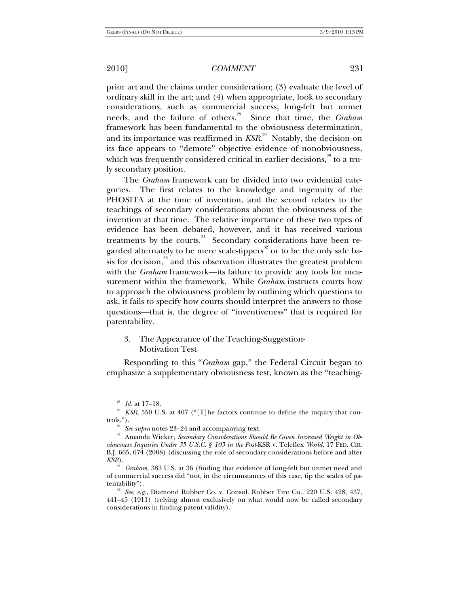prior art and the claims under consideration; (3) evaluate the level of ordinary skill in the art; and (4) when appropriate, look to secondary considerations, such as commercial success, long-felt but unmet needs, and the failure of others.<sup>28</sup> Since that time, the *Graham* framework has been fundamental to the obviousness determination, and its importance was reaffirmed in *KSR*. 29 Notably, the decision on its face appears to "demote" objective evidence of nonobviousness, which was frequently considered critical in earlier decisions, $^{\textrm{\tiny{30}}}$  to a truly secondary position.

The *Graham* framework can be divided into two evidential categories. The first relates to the knowledge and ingenuity of the PHOSITA at the time of invention, and the second relates to the teachings of secondary considerations about the obviousness of the invention at that time. The relative importance of these two types of evidence has been debated, however, and it has received various treatments by the courts.<sup>31</sup> Secondary considerations have been regarded alternately to be mere scale-tippers<sup>32</sup> or to be the only safe basis for decision, $\frac{33}{3}$  and this observation illustrates the greatest problem with the *Graham* framework—its failure to provide any tools for measurement within the framework. While *Graham* instructs courts how to approach the obviousness problem by outlining which questions to ask, it fails to specify how courts should interpret the answers to those questions—that is, the degree of "inventiveness" that is required for patentability.

3. The Appearance of the Teaching-Suggestion-Motivation Test

Responding to this "*Graham* gap," the Federal Circuit began to emphasize a supplementary obviousness test, known as the "teaching-

<sup>&</sup>lt;sup>28</sup> *Id.* at 17–18.<br><sup>29</sup> *KSR*, 550 U.S. at 407 ("[T]he factors continue to define the inquiry that con-

trols."). 30 *See supra* notes 23–24 and accompanying text. 31 Amanda Wieker, *Secondary Considerations Should Be Given Increased Weight in Obviousness Inquiries Under 35 U.S.C. § 103 in the Post-*KSR v. Teleflex *World*, 17 FED. CIR. B.J. 665, 674 (2008) (discussing the role of secondary considerations before and after *KSR*).

<sup>32</sup> *Graham*, 383 U.S. at 36 (finding that evidence of long-felt but unmet need and of commercial success did "not, in the circumstances of this case, tip the scales of pa-

<sup>&</sup>lt;sup>33</sup> See, e.g., Diamond Rubber Co. v. Consol. Rubber Tire Co., 220 U.S. 428, 437, 441–45 (1911) (relying almost exclusively on what would now be called secondary considerations in finding patent validity).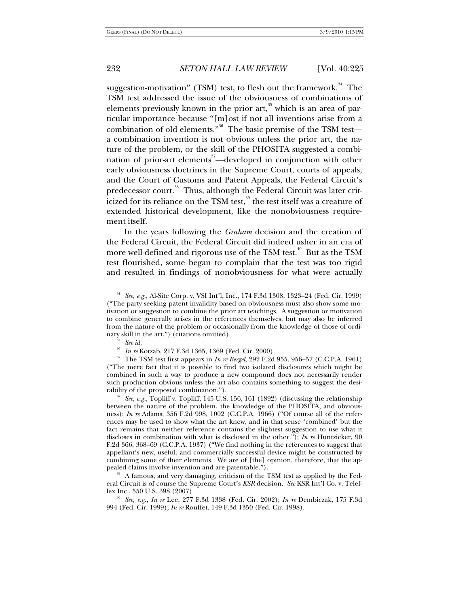suggestion-motivation" (TSM) test, to flesh out the framework.<sup>34</sup> The TSM test addressed the issue of the obviousness of combinations of elements previously known in the prior art,  $35$  which is an area of particular importance because "[m]ost if not all inventions arise from a combination of old elements."<sup>36</sup> The basic premise of the TSM testa combination invention is not obvious unless the prior art, the nature of the problem, or the skill of the PHOSITA suggested a combination of prior-art elements<sup>37</sup>—developed in conjunction with other early obviousness doctrines in the Supreme Court, courts of appeals, and the Court of Customs and Patent Appeals, the Federal Circuit's predecessor court.<sup>38</sup> Thus, although the Federal Circuit was later criticized for its reliance on the TSM test,<sup>39</sup> the test itself was a creature of extended historical development, like the nonobviousness requirement itself.

In the years following the *Graham* decision and the creation of the Federal Circuit, the Federal Circuit did indeed usher in an era of more well-defined and rigorous use of the TSM test.<sup>40</sup> But as the TSM test flourished, some began to complain that the test was too rigid and resulted in findings of nonobviousness for what were actually

<sup>35</sup> See id.<br><sup>36</sup> In re Kotzab, 217 F.3d 1365, 1369 (Fed. Cir. 2000).<br><sup>37</sup> The TSM test first appears in *In re Bergel*, 292 F.2d 955, 956–57 (C.C.P.A. 1961) ("The mere fact that it is possible to find two isolated disclosures which might be combined in such a way to produce a new compound does not necessarily render such production obvious unless the art also contains something to suggest the desirability of the proposed combination."). 38 *See, e.g.*, Topliff v. Topliff, 145 U.S. 156, 161 (1892) (discussing the relationship

A famous, and very damaging, criticism of the TSM test as applied by the Federal Circuit is of course the Supreme Court's *KSR* decision. *See* KSR Int'l Co. v. Teleflex Inc., 550 U.S. 398 (2007). 40 *See, e.g.*, *In re* Lee, 277 F.3d 1338 (Fed. Cir. 2002); *In re* Dembiczak, 175 F.3d

994 (Fed. Cir. 1999); *In re* Rouffet, 149 F.3d 1350 (Fed. Cir. 1998).

<sup>34</sup> *See, e.g.*, Al-Site Corp. v. VSI Int'l, Inc., 174 F.3d 1308, 1323–24 (Fed. Cir. 1999) ("The party seeking patent invalidity based on obviousness must also show some motivation or suggestion to combine the prior art teachings. A suggestion or motivation to combine generally arises in the references themselves, but may also be inferred from the nature of the problem or occasionally from the knowledge of those of ordinary skill in the art.") (citations omitted).

between the nature of the problem, the knowledge of the PHOSITA, and obviousness); *In re* Adams, 356 F.2d 998, 1002 (C.C.P.A. 1966) ("Of course all of the references may be used to show what the art knew, and in that sense 'combined' but the fact remains that neither reference contains the slightest suggestion to use what it discloses in combination with what is disclosed in the other."); *In re* Huntzicker, 90 F.2d 366, 368–69 (C.C.P.A. 1937) ("We find nothing in the references to suggest that appellant's new, useful, and commercially successful device might be constructed by combining some of their elements. We are of [the] opinion, therefore, that the appealed claims involve invention and are patentable.").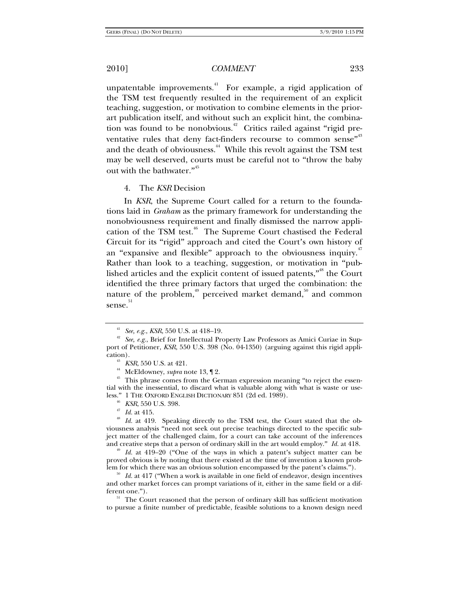unpatentable improvements.<sup>41</sup> For example, a rigid application of the TSM test frequently resulted in the requirement of an explicit teaching, suggestion, or motivation to combine elements in the priorart publication itself, and without such an explicit hint, the combination was found to be nonobvious.<sup>42</sup> Critics railed against "rigid preventative rules that deny fact-finders recourse to common sense'<sup>,43</sup> and the death of obviousness.<sup>44</sup> While this revolt against the TSM test may be well deserved, courts must be careful not to "throw the baby out with the bathwater."<sup>45</sup>

4. The *KSR* Decision

In *KSR*, the Supreme Court called for a return to the foundations laid in *Graham* as the primary framework for understanding the nonobviousness requirement and finally dismissed the narrow application of the TSM test.<sup>46</sup> The Supreme Court chastised the Federal Circuit for its "rigid" approach and cited the Court's own history of an "expansive and flexible" approach to the obviousness inquiry.<sup>47</sup> Rather than look to a teaching, suggestion, or motivation in "published articles and the explicit content of issued patents,"<sup>48</sup> the Court identified the three primary factors that urged the combination: the nature of the problem, $49$  perceived market demand, $50$  and common sense.<sup>51</sup>

proved obvious is by noting that there existed at the time of invention a known problem for which there was an obvious solution encompassed by the patent's claims.").

<sup>&</sup>lt;sup>41</sup> See, e.g., *KSR*, 550 U.S. at 418–19.<br><sup>42</sup> See, e.g., Brief for Intellectual Property Law Professors as Amici Curiae in Support of Petitioner, *KSR*, 550 U.S. 398 (No. 04-1350) (arguing against this rigid appli-

cation).<br><sup>43</sup> *KSR*, 550 U.S. at 421.<br><sup>44</sup> McEldowney, *supra* note 13, ¶ 2.<br><sup>45</sup> This phrase comes from the German expression meaning "to reject the essential with the inessential, to discard what is valuable along with what is waste or use-<br>less." 1 THE OXFORD ENGLISH DICTIONARY 851 (2d ed. 1989).

<sup>&</sup>lt;sup>46</sup> KSR, 550 U.S. 398.  $\frac{47}{Id}$ . at 415. <br><sup>47</sup> Id. at 419. Speaking directly to the TSM test, the Court stated that the obviousness analysis "need not seek out precise teachings directed to the specific subject matter of the challenged claim, for a court can take account of the inferences and creative steps that a person of ordinary skill in the art would employ." *Id.* at 418.<br><sup>49</sup> *Id.* at 419–20 ("One of the ways in which a patent's subject matter can be

 $1/2$ <sup>50</sup> *Id.* at 417 ("When a work is available in one field of endeavor, design incentives and other market forces can prompt variations of it, either in the same field or a different one.").<br><sup>51</sup> The Court reasoned that the person of ordinary skill has sufficient motivation

to pursue a finite number of predictable, feasible solutions to a known design need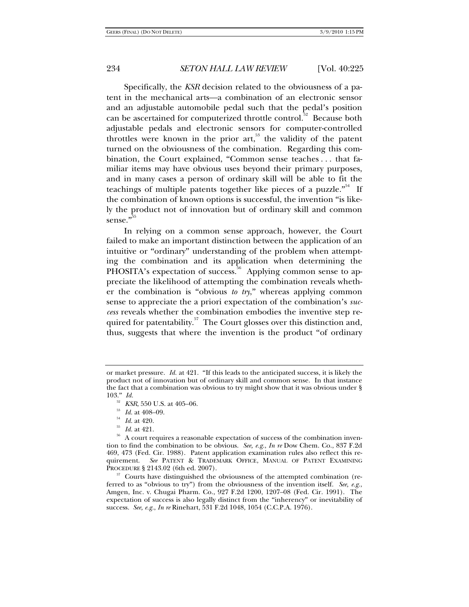Specifically, the *KSR* decision related to the obviousness of a patent in the mechanical arts—a combination of an electronic sensor and an adjustable automobile pedal such that the pedal's position can be ascertained for computerized throttle control.<sup>52</sup> Because both adjustable pedals and electronic sensors for computer-controlled throttles were known in the prior art,<sup>53</sup> the validity of the patent turned on the obviousness of the combination. Regarding this combination, the Court explained, "Common sense teaches . . . that familiar items may have obvious uses beyond their primary purposes, and in many cases a person of ordinary skill will be able to fit the teachings of multiple patents together like pieces of a puzzle."<sup>54</sup> If the combination of known options is successful, the invention "is likely the product not of innovation but of ordinary skill and common sense."<sup>55</sup>

In relying on a common sense approach, however, the Court failed to make an important distinction between the application of an intuitive or "ordinary" understanding of the problem when attempting the combination and its application when determining the PHOSITA's expectation of success.<sup>56</sup> Applying common sense to appreciate the likelihood of attempting the combination reveals whether the combination is "obvious *to try*," whereas applying common sense to appreciate the a priori expectation of the combination's *success* reveals whether the combination embodies the inventive step required for patentability. $57$  The Court glosses over this distinction and, thus, suggests that where the invention is the product "of ordinary

or market pressure. *Id.* at 421. "If this leads to the anticipated success, it is likely the product not of innovation but of ordinary skill and common sense. In that instance the fact that a combination was obvious to try might show that it was obvious under § 103." *Id.*<br> $^{52}$  *KSR*, 550 U.S. at 405–06.

<sup>&</sup>lt;sup>53</sup> Id. at 408–09.<br><sup>54</sup> Id. at 420.<br><sup>55</sup> Id. at 421.<br><sup>56</sup> A court requires a reasonable expectation of success of the combination invention to find the combination to be obvious. *See, e.g.*, *In re* Dow Chem. Co., 837 F.2d 469, 473 (Fed. Cir. 1988). Patent application examination rules also reflect this requirement. *See* PATENT & TRADEMARK OFFICE, MANUAL OF PATENT EXAMINING PROCEDURE § 2143.02 (6th ed. 2007).<br><sup>57</sup> Courts have distinguished the obviousness of the attempted combination (re-

ferred to as "obvious to try") from the obviousness of the invention itself. *See, e.g.*, Amgen, Inc. v. Chugai Pharm. Co., 927 F.2d 1200, 1207–08 (Fed. Cir. 1991). The expectation of success is also legally distinct from the "inherency" or inevitability of success. *See, e.g.*, *In re* Rinehart, 531 F.2d 1048, 1054 (C.C.P.A. 1976).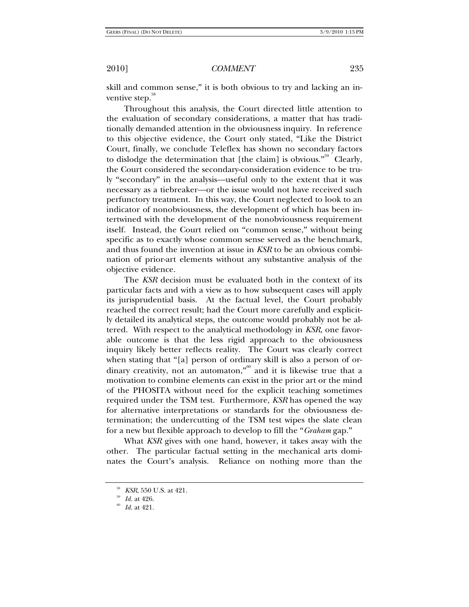skill and common sense," it is both obvious to try and lacking an inventive step.<sup>38</sup>

Throughout this analysis, the Court directed little attention to the evaluation of secondary considerations, a matter that has traditionally demanded attention in the obviousness inquiry. In reference to this objective evidence, the Court only stated, "Like the District Court, finally, we conclude Teleflex has shown no secondary factors to dislodge the determination that [the claim] is obvious."<sup>59</sup> Clearly, the Court considered the secondary-consideration evidence to be truly "secondary" in the analysis—useful only to the extent that it was necessary as a tiebreaker—or the issue would not have received such perfunctory treatment. In this way, the Court neglected to look to an indicator of nonobviousness, the development of which has been intertwined with the development of the nonobviousness requirement itself. Instead, the Court relied on "common sense," without being specific as to exactly whose common sense served as the benchmark, and thus found the invention at issue in *KSR* to be an obvious combination of prior-art elements without any substantive analysis of the objective evidence.

The *KSR* decision must be evaluated both in the context of its particular facts and with a view as to how subsequent cases will apply its jurisprudential basis. At the factual level, the Court probably reached the correct result; had the Court more carefully and explicitly detailed its analytical steps, the outcome would probably not be altered. With respect to the analytical methodology in *KSR*, one favorable outcome is that the less rigid approach to the obviousness inquiry likely better reflects reality. The Court was clearly correct when stating that "[a] person of ordinary skill is also a person of ordinary creativity, not an automaton,"<sup>60</sup> and it is likewise true that a motivation to combine elements can exist in the prior art or the mind of the PHOSITA without need for the explicit teaching sometimes required under the TSM test. Furthermore, *KSR* has opened the way for alternative interpretations or standards for the obviousness determination; the undercutting of the TSM test wipes the slate clean for a new but flexible approach to develop to fill the "*Graham* gap."

What *KSR* gives with one hand, however, it takes away with the other. The particular factual setting in the mechanical arts dominates the Court's analysis. Reliance on nothing more than the

<sup>58</sup> *KSR*, 550 U.S. at 421. 59 *Id.* at 426. 60 *Id.* at 421.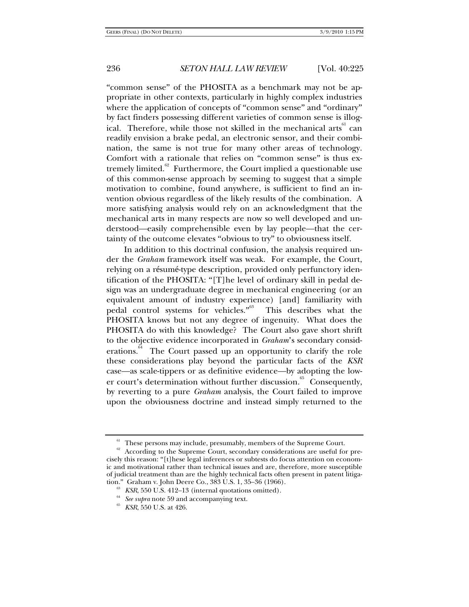"common sense" of the PHOSITA as a benchmark may not be appropriate in other contexts, particularly in highly complex industries where the application of concepts of "common sense" and "ordinary" by fact finders possessing different varieties of common sense is illogical. Therefore, while those not skilled in the mechanical arts<sup>61</sup> can readily envision a brake pedal, an electronic sensor, and their combination, the same is not true for many other areas of technology. Comfort with a rationale that relies on "common sense" is thus extremely limited. $62^{\circ}$  Furthermore, the Court implied a questionable use of this common-sense approach by seeming to suggest that a simple motivation to combine, found anywhere, is sufficient to find an invention obvious regardless of the likely results of the combination. A more satisfying analysis would rely on an acknowledgment that the mechanical arts in many respects are now so well developed and understood—easily comprehensible even by lay people—that the certainty of the outcome elevates "obvious to try" to obviousness itself.

In addition to this doctrinal confusion, the analysis required under the *Graham* framework itself was weak. For example, the Court, relying on a résumé-type description, provided only perfunctory identification of the PHOSITA: "[T]he level of ordinary skill in pedal design was an undergraduate degree in mechanical engineering (or an equivalent amount of industry experience) [and] familiarity with pedal control systems for vehicles."<sup>63</sup> This describes what the PHOSITA knows but not any degree of ingenuity. What does the PHOSITA do with this knowledge? The Court also gave short shrift to the objective evidence incorporated in *Graham*'s secondary considerations.<sup>64</sup> The Court passed up an opportunity to clarify the role these considerations play beyond the particular facts of the *KSR* case—as scale-tippers or as definitive evidence—by adopting the lower court's determination without further discussion.<sup>65</sup> Consequently, by reverting to a pure *Graham* analysis, the Court failed to improve upon the obviousness doctrine and instead simply returned to the

<sup>&</sup>lt;sup>61</sup> These persons may include, presumably, members of the Supreme Court.

<sup>&</sup>lt;sup>62</sup> According to the Supreme Court, secondary considerations are useful for precisely this reason: "[t]hese legal inferences or subtests do focus attention on economic and motivational rather than technical issues and are, therefore, more susceptible of judicial treatment than are the highly technical facts often present in patent litigation." Graham v. John Deere Co., 383 U.S. 1, 35–36 (1966).<br><sup>63</sup> *KSR*, 550 U.S. 412–13 (internal quotations omitted).<br><sup>64</sup> *KsR*, 550 U.S. at 426.<br><sup>65</sup> *KSR*, 550 U.S. at 426.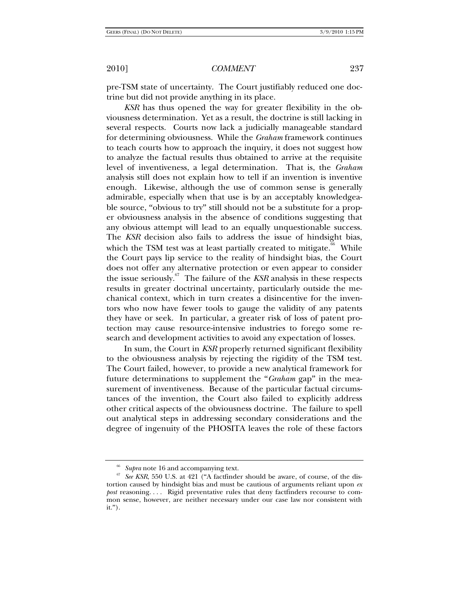pre-TSM state of uncertainty. The Court justifiably reduced one doctrine but did not provide anything in its place.

*KSR* has thus opened the way for greater flexibility in the obviousness determination. Yet as a result, the doctrine is still lacking in several respects. Courts now lack a judicially manageable standard for determining obviousness. While the *Graham* framework continues to teach courts how to approach the inquiry, it does not suggest how to analyze the factual results thus obtained to arrive at the requisite level of inventiveness, a legal determination. That is, the *Graham* analysis still does not explain how to tell if an invention is inventive enough. Likewise, although the use of common sense is generally admirable, especially when that use is by an acceptably knowledgeable source, "obvious to try" still should not be a substitute for a proper obviousness analysis in the absence of conditions suggesting that any obvious attempt will lead to an equally unquestionable success. The *KSR* decision also fails to address the issue of hindsight bias, which the TSM test was at least partially created to mitigate. $66$  While the Court pays lip service to the reality of hindsight bias, the Court does not offer any alternative protection or even appear to consider the issue seriously.<sup>67</sup> The failure of the  $KSR$  analysis in these respects results in greater doctrinal uncertainty, particularly outside the mechanical context, which in turn creates a disincentive for the inventors who now have fewer tools to gauge the validity of any patents they have or seek. In particular, a greater risk of loss of patent protection may cause resource-intensive industries to forego some research and development activities to avoid any expectation of losses.

In sum, the Court in *KSR* properly returned significant flexibility to the obviousness analysis by rejecting the rigidity of the TSM test. The Court failed, however, to provide a new analytical framework for future determinations to supplement the "*Graham* gap" in the measurement of inventiveness. Because of the particular factual circumstances of the invention, the Court also failed to explicitly address other critical aspects of the obviousness doctrine. The failure to spell out analytical steps in addressing secondary considerations and the degree of ingenuity of the PHOSITA leaves the role of these factors

<sup>&</sup>lt;sup>66</sup> Supra note 16 and accompanying text.<br><sup>67</sup> See KSR, 550 U.S. at 421 ("A factfinder should be aware, of course, of the distortion caused by hindsight bias and must be cautious of arguments reliant upon *ex post* reasoning. . . . Rigid preventative rules that deny factfinders recourse to common sense, however, are neither necessary under our case law nor consistent with it.").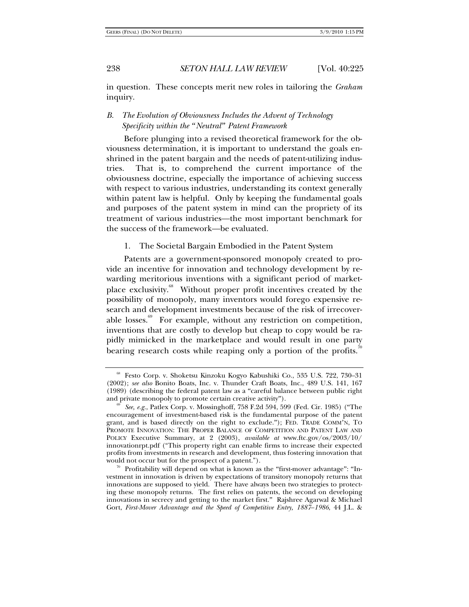in question. These concepts merit new roles in tailoring the *Graham* inquiry.

## *B. The Evolution of Obviousness Includes the Advent of Technology Specificity within the "Neutral" Patent Framework*

Before plunging into a revised theoretical framework for the obviousness determination, it is important to understand the goals enshrined in the patent bargain and the needs of patent-utilizing industries. That is, to comprehend the current importance of the obviousness doctrine, especially the importance of achieving success with respect to various industries, understanding its context generally within patent law is helpful. Only by keeping the fundamental goals and purposes of the patent system in mind can the propriety of its treatment of various industries—the most important benchmark for the success of the framework—be evaluated.

1. The Societal Bargain Embodied in the Patent System

Patents are a government-sponsored monopoly created to provide an incentive for innovation and technology development by rewarding meritorious inventions with a significant period of marketplace exclusivity.<sup>68</sup> Without proper profit incentives created by the possibility of monopoly, many inventors would forego expensive research and development investments because of the risk of irrecoverable losses.<sup>69</sup> For example, without any restriction on competition, inventions that are costly to develop but cheap to copy would be rapidly mimicked in the marketplace and would result in one party bearing research costs while reaping only a portion of the profits.

<sup>68</sup> Festo Corp. v. Shoketsu Kinzoku Kogyo Kabushiki Co., 535 U.S. 722, 730–31 (2002); *see also* Bonito Boats, Inc. v. Thunder Craft Boats, Inc., 489 U.S. 141, 167 (1989) (describing the federal patent law as a "careful balance between public right and private monopoly to promote certain creative activity").<br><sup>69</sup> *See, e.g.*, Patlex Corp. v. Mossinghoff, 758 F.2d 594, 599 (Fed. Cir. 1985) ("The

encouragement of investment-based risk is the fundamental purpose of the patent grant, and is based directly on the right to exclude."); FED. TRADE COMM'N, TO PROMOTE INNOVATION: THE PROPER BALANCE OF COMPETITION AND PATENT LAW AND POLICY Executive Summary, at 2 (2003), *available at* www.ftc.gov/os/2003/10/ innovationrpt.pdf ("This property right can enable firms to increase their expected profits from investments in research and development, thus fostering innovation that would not occur but for the prospect of a patent.").<br><sup>70</sup> Profitability will depend on what is known as the "first-mover advantage": "In-

vestment in innovation is driven by expectations of transitory monopoly returns that innovations are supposed to yield. There have always been two strategies to protecting these monopoly returns. The first relies on patents, the second on developing innovations in secrecy and getting to the market first." Rajshree Agarwal & Michael Gort, *First-Mover Advantage and the Speed of Competitive Entry, 1887–1986*, 44 J.L. &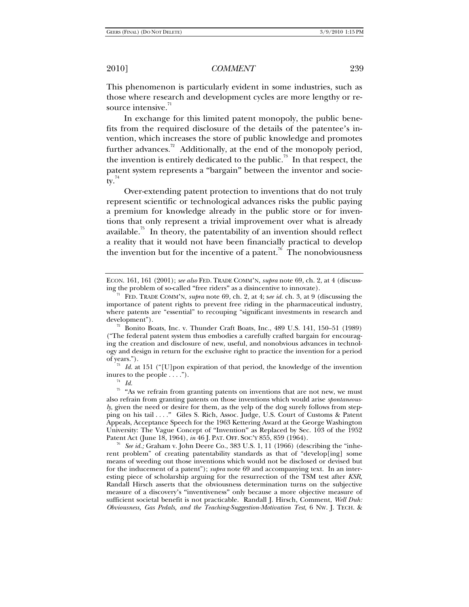This phenomenon is particularly evident in some industries, such as those where research and development cycles are more lengthy or resource intensive.<sup>71</sup>

In exchange for this limited patent monopoly, the public benefits from the required disclosure of the details of the patentee's invention, which increases the store of public knowledge and promotes further advances.<sup>72</sup> Additionally, at the end of the monopoly period, the invention is entirely dedicated to the public.<sup>73</sup> In that respect, the patent system represents a "bargain" between the inventor and society. $14$ 

Over-extending patent protection to inventions that do not truly represent scientific or technological advances risks the public paying a premium for knowledge already in the public store or for inventions that only represent a trivial improvement over what is already available.<sup>75</sup> In theory, the patentability of an invention should reflect a reality that it would not have been financially practical to develop the invention but for the incentive of a patent.<sup>76</sup> The nonobviousness

of years."). 73 *Id.* at 151 ("[U]pon expiration of that period, the knowledge of the invention inures to the people  $\dots$ ").<br><sup>74</sup> *Id.* 

 $75$  "As we refrain from granting patents on inventions that are not new, we must also refrain from granting patents on those inventions which would arise *spontaneously*, given the need or desire for them, as the yelp of the dog surely follows from stepping on his tail . . . ." Giles S. Rich, Assoc. Judge, U.S. Court of Customs & Patent Appeals, Acceptance Speech for the 1963 Kettering Award at the George Washington University: The Vague Concept of "Invention" as Replaced by Sec. 103 of the 1952 Patent Act (June 18, 1964), *in* 46 J. PAT. OFF. SOC'Y 855, 859 (1964).

<sup>6</sup> See id.; Graham v. John Deere Co., 383 U.S. 1, 11 (1966) (describing the "inherent problem" of creating patentability standards as that of "develop[ing] some means of weeding out those inventions which would not be disclosed or devised but for the inducement of a patent"); *supra* note 69 and accompanying text. In an interesting piece of scholarship arguing for the resurrection of the TSM test after *KSR*, Randall Hirsch asserts that the obviousness determination turns on the subjective measure of a discovery's "inventiveness" only because a more objective measure of sufficient societal benefit is not practicable. Randall J. Hirsch, Comment, *Well Duh: Obviousness, Gas Pedals, and the Teaching-Suggestion-Motivation Test*, 6 NW. J. TECH. &

ECON. 161, 161 (2001); *see also* FED. TRADE COMM'N, *supra* note 69, ch. 2, at 4 (discussing the problem of so-called "free riders" as a disincentive to innovate).

FED. TRADE COMM'N, *supra* note 69, ch. 2, at 4; see id. ch. 3, at 9 (discussing the importance of patent rights to prevent free riding in the pharmaceutical industry, where patents are "essential" to recouping "significant investments in research and development").

 $\frac{72}{12}$  Bonito Boats, Inc. v. Thunder Craft Boats, Inc., 489 U.S. 141, 150–51 (1989) ("The federal patent system thus embodies a carefully crafted bargain for encouraging the creation and disclosure of new, useful, and nonobvious advances in technology and design in return for the exclusive right to practice the invention for a period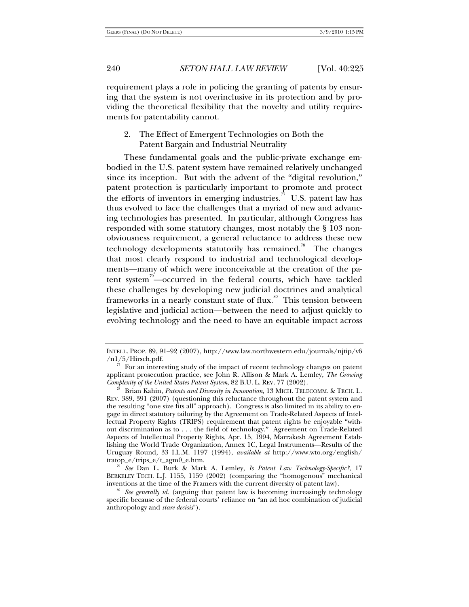requirement plays a role in policing the granting of patents by ensuring that the system is not overinclusive in its protection and by providing the theoretical flexibility that the novelty and utility requirements for patentability cannot.

# 2. The Effect of Emergent Technologies on Both the Patent Bargain and Industrial Neutrality

These fundamental goals and the public-private exchange embodied in the U.S. patent system have remained relatively unchanged since its inception. But with the advent of the "digital revolution," patent protection is particularly important to promote and protect the efforts of inventors in emerging industries.<sup>77</sup> U.S. patent law has thus evolved to face the challenges that a myriad of new and advancing technologies has presented. In particular, although Congress has responded with some statutory changes, most notably the § 103 nonobviousness requirement, a general reluctance to address these new technology developments statutorily has remained.<sup>78</sup> The changes that most clearly respond to industrial and technological developments—many of which were inconceivable at the creation of the patent system<sup>79</sup>—occurred in the federal courts, which have tackled these challenges by developing new judicial doctrines and analytical frameworks in a nearly constant state of flux.<sup>80</sup> This tension between legislative and judicial action—between the need to adjust quickly to evolving technology and the need to have an equitable impact across

INTELL. PROP. 89, 91–92 (2007), http://www.law.northwestern.edu/journals/njtip/v6

 $^{\mathrm{77}}\,$  For an interesting study of the impact of recent technology changes on patent applicant prosecution practice, see John R. Allison & Mark A. Lemley, *The Growing* 

Brian Kahin, Patents and Diversity in Innovation, 13 MICH. TELECOMM. & TECH. L. REV. 389, 391 (2007) (questioning this reluctance throughout the patent system and the resulting "one size fits all" approach). Congress is also limited in its ability to engage in direct statutory tailoring by the Agreement on Trade-Related Aspects of Intellectual Property Rights (TRIPS) requirement that patent rights be enjoyable "without discrimination as to . . . the field of technology." Agreement on Trade-Related Aspects of Intellectual Property Rights, Apr. 15, 1994, Marrakesh Agreement Establishing the World Trade Organization, Annex 1C, Legal Instruments—Results of the Uruguay Round, 33 I.L.M. 1197 (1994), *available at* http://www.wto.org/english/

tratop\_e/trips\_e/t\_agm0\_e.htm. 79 *See* Dan L. Burk & Mark A. Lemley, *Is Patent Law Technology-Specific?*, 17 BERKELEY TECH. L.J. 1155, 1159 (2002) (comparing the "homogenous" mechanical inventions at the time of the Framers with the current diversity of patent law).

<sup>&</sup>lt;sup>80</sup> See generally id. (arguing that patent law is becoming increasingly technology specific because of the federal courts' reliance on "an ad hoc combination of judicial anthropology and *stare decisis*").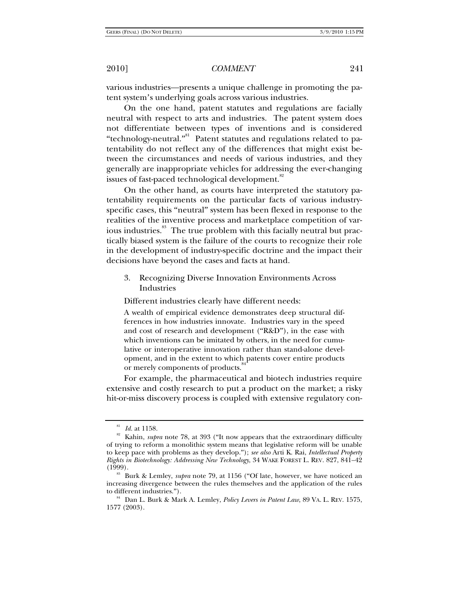various industries—presents a unique challenge in promoting the patent system's underlying goals across various industries.

On the one hand, patent statutes and regulations are facially neutral with respect to arts and industries. The patent system does not differentiate between types of inventions and is considered "technology-neutral." Patent statutes and regulations related to patentability do not reflect any of the differences that might exist between the circumstances and needs of various industries, and they generally are inappropriate vehicles for addressing the ever-changing issues of fast-paced technological development.<sup>82</sup>

On the other hand, as courts have interpreted the statutory patentability requirements on the particular facts of various industryspecific cases, this "neutral" system has been flexed in response to the realities of the inventive process and marketplace competition of various industries.<sup>83</sup> The true problem with this facially neutral but practically biased system is the failure of the courts to recognize their role in the development of industry-specific doctrine and the impact their decisions have beyond the cases and facts at hand.

# 3. Recognizing Diverse Innovation Environments Across Industries

Different industries clearly have different needs:

A wealth of empirical evidence demonstrates deep structural differences in how industries innovate. Industries vary in the speed and cost of research and development ("R&D"), in the ease with which inventions can be imitated by others, in the need for cumulative or interoperative innovation rather than stand-alone development, and in the extent to which patents cover entire products or merely components of products.

For example, the pharmaceutical and biotech industries require extensive and costly research to put a product on the market; a risky hit-or-miss discovery process is coupled with extensive regulatory con-

<sup>&</sup>lt;sup>81</sup> *Id.* at 1158.<br><sup>82</sup> Kahin, *supra* note 78, at 393 ("It now appears that the extraordinary difficulty of trying to reform a monolithic system means that legislative reform will be unable to keep pace with problems as they develop."); *see also* Arti K. Rai, *Intellectual Property Rights in Biotechnology: Addressing New Technology*, 34 WAKE FOREST L. REV. 827, 841–42

Burk & Lemley, *supra* note 79, at 1156 ("Of late, however, we have noticed an increasing divergence between the rules themselves and the application of the rules to different industries."). 84 Dan L. Burk & Mark A. Lemley, *Policy Levers in Patent Law*, 89 VA. L. REV. 1575,

<sup>1577 (2003).</sup>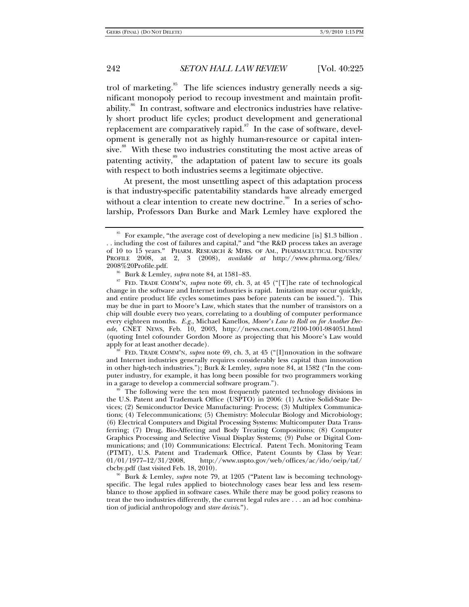trol of marketing.<sup>85</sup> The life sciences industry generally needs a significant monopoly period to recoup investment and maintain profitability.<sup>86</sup> In contrast, software and electronics industries have relatively short product life cycles; product development and generational replacement are comparatively rapid. $87$  In the case of software, development is generally not as highly human-resource or capital intensive.<sup>88</sup> With these two industries constituting the most active areas of patenting activity, $\frac{89}{10}$  the adaptation of patent law to secure its goals with respect to both industries seems a legitimate objective.

At present, the most unsettling aspect of this adaptation process is that industry-specific patentability standards have already emerged without a clear intention to create new doctrine.<sup>90</sup> In a series of scholarship, Professors Dan Burke and Mark Lemley have explored the

FED. TRADE COMM'N, *supra* note 69, ch. 3, at 45 ("[I]nnovation in the software and Internet industries generally requires considerably less capital than innovation in other high-tech industries."); Burk & Lemley, *supra* note 84, at 1582 ("In the computer industry, for example, it has long been possible for two programmers working in a garage to develop a commercial software program.").<br><sup>89</sup> The following were the ten most frequently patented technology divisions in

<sup>&</sup>lt;sup>85</sup> For example, "the average cost of developing a new medicine [is] \$1.3 billion. . . including the cost of failures and capital," and "the R&D process takes an average of 10 to 15 years." PHARM. RESEARCH & MFRS. OF AM., PHARMACEUTICAL INDUSTRY PROFILE 2008, at 2, 3 (2008), *available at* http://www.phrma.org/files/

<sup>2008%20</sup>Profile.pdf. 86 Burk & Lemley, *supra* note 84, at 1581–83. 87 FED. TRADE COMM'N, *supra* note 69, ch. 3, at 45 ("[T]he rate of technological change in the software and Internet industries is rapid. Imitation may occur quickly, and entire product life cycles sometimes pass before patents can be issued."). This may be due in part to Moore's Law, which states that the number of transistors on a chip will double every two years, correlating to a doubling of computer performance every eighteen months. *E.g.*, Michael Kanellos, *Moore's Law to Roll on for Another Decade*, CNET NEWS, Feb. 10, 2003, http://news.cnet.com/2100-1001-984051.html (quoting Intel cofounder Gordon Moore as projecting that his Moore's Law would

the U.S. Patent and Trademark Office (USPTO) in 2006: (1) Active Solid-State Devices; (2) Semiconductor Device Manufacturing: Process; (3) Multiplex Communications; (4) Telecommunications; (5) Chemistry: Molecular Biology and Microbiology; (6) Electrical Computers and Digital Processing Systems: Multicomputer Data Transferring; (7) Drug, Bio-Affecting and Body Treating Compositions; (8) Computer Graphics Processing and Selective Visual Display Systems; (9) Pulse or Digital Communications; and (10) Communications: Electrical. Patent Tech. Monitoring Team (PTMT), U.S. Patent and Trademark Office, Patent Counts by Class by Year:  $01/01/1977-12/31/2008$ , http://www.uspto.gov/web/offices/ac/ido/oeip/taf/<br>cbcby.pdf (last visited Feb. 18, 2010).

Burk & Lemley, *supra* note 79, at 1205 ("Patent law is becoming technologyspecific. The legal rules applied to biotechnology cases bear less and less resemblance to those applied in software cases. While there may be good policy reasons to treat the two industries differently, the current legal rules are . . . an ad hoc combination of judicial anthropology and *stare decisis*.").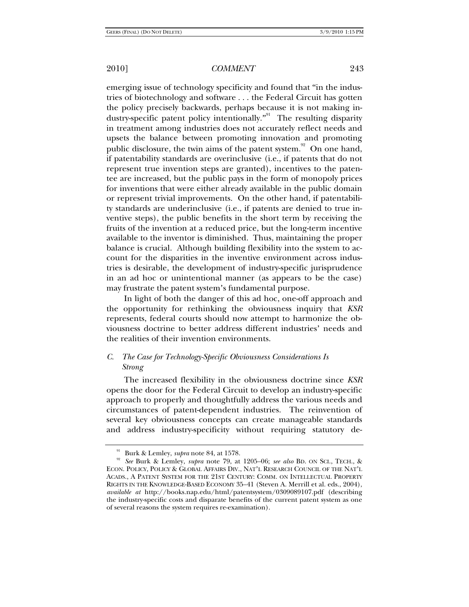emerging issue of technology specificity and found that "in the industries of biotechnology and software . . . the Federal Circuit has gotten the policy precisely backwards, perhaps because it is not making industry-specific patent policy intentionally."<sup>91</sup> The resulting disparity in treatment among industries does not accurately reflect needs and upsets the balance between promoting innovation and promoting public disclosure, the twin aims of the patent system.<sup>92</sup> On one hand, if patentability standards are overinclusive (i.e., if patents that do not represent true invention steps are granted), incentives to the patentee are increased, but the public pays in the form of monopoly prices for inventions that were either already available in the public domain or represent trivial improvements. On the other hand, if patentability standards are underinclusive (i.e., if patents are denied to true inventive steps), the public benefits in the short term by receiving the fruits of the invention at a reduced price, but the long-term incentive available to the inventor is diminished. Thus, maintaining the proper balance is crucial. Although building flexibility into the system to account for the disparities in the inventive environment across industries is desirable, the development of industry-specific jurisprudence in an ad hoc or unintentional manner (as appears to be the case) may frustrate the patent system's fundamental purpose.

In light of both the danger of this ad hoc, one-off approach and the opportunity for rethinking the obviousness inquiry that *KSR* represents, federal courts should now attempt to harmonize the obviousness doctrine to better address different industries' needs and the realities of their invention environments.

# *C. The Case for Technology-Specific Obviousness Considerations Is Strong*

The increased flexibility in the obviousness doctrine since *KSR* opens the door for the Federal Circuit to develop an industry-specific approach to properly and thoughtfully address the various needs and circumstances of patent-dependent industries. The reinvention of several key obviousness concepts can create manageable standards and address industry-specificity without requiring statutory de-

<sup>91</sup> Burk & Lemley, *supra* note 84, at 1578. 92 *See* Burk & Lemley, *supra* note 79, at 1205–06; *see also* BD. ON SCI., TECH., & ECON. POLICY, POLICY & GLOBAL AFFAIRS DIV., NAT'L RESEARCH COUNCIL OF THE NAT'L ACADS., A PATENT SYSTEM FOR THE 21ST CENTURY: COMM. ON INTELLECTUAL PROPERTY RIGHTS IN THE KNOWLEDGE-BASED ECONOMY 35–41 (Steven A. Merrill et al. eds., 2004), *available at* http://books.nap.edu/html/patentsystem/0309089107.pdf (describing the industry-specific costs and disparate benefits of the current patent system as one of several reasons the system requires re-examination).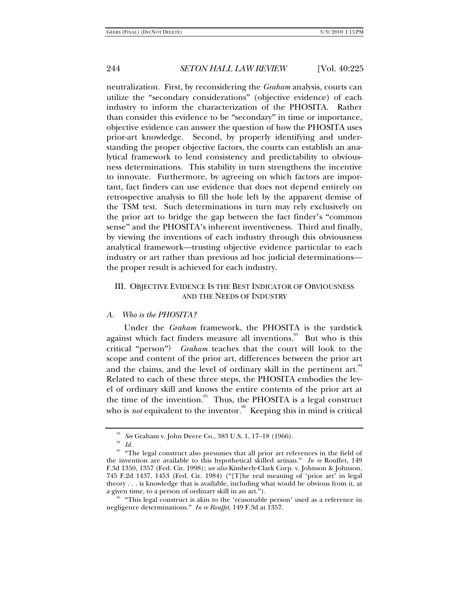neutralization. First, by reconsidering the *Graham* analysis, courts can utilize the "secondary considerations" (objective evidence) of each industry to inform the characterization of the PHOSITA. Rather than consider this evidence to be "secondary" in time or importance, objective evidence can answer the question of how the PHOSITA uses prior-art knowledge. Second, by properly identifying and understanding the proper objective factors, the courts can establish an analytical framework to lend consistency and predictability to obviousness determinations. This stability in turn strengthens the incentive to innovate. Furthermore, by agreeing on which factors are important, fact finders can use evidence that does not depend entirely on retrospective analysis to fill the hole left by the apparent demise of the TSM test. Such determinations in turn may rely exclusively on the prior art to bridge the gap between the fact finder's "common sense" and the PHOSITA's inherent inventiveness. Third and finally, by viewing the inventions of each industry through this obviousness analytical framework—trusting objective evidence particular to each industry or art rather than previous ad hoc judicial determinations the proper result is achieved for each industry.

## III. OBJECTIVE EVIDENCE IS THE BEST INDICATOR OF OBVIOUSNESS AND THE NEEDS OF INDUSTRY

#### *A. Who is the PHOSITA?*

Under the *Graham* framework, the PHOSITA is the yardstick against which fact finders measure all inventions. $93$  But who is this critical "person"? *Graham* teaches that the court will look to the scope and content of the prior art, differences between the prior art and the claims, and the level of ordinary skill in the pertinent art. $94$ Related to each of these three steps, the PHOSITA embodies the level of ordinary skill and knows the entire contents of the prior art at the time of the invention.<sup>95</sup> Thus, the PHOSITA is a legal construct who is *not* equivalent to the inventor.<sup>96</sup> Keeping this in mind is critical

<sup>&</sup>lt;sup>93</sup> See Graham v. John Deere Co., 383 U.S. 1, 17–18 (1966).<br><sup>94</sup> Id.<br><sup>95</sup> "The legal construct also presumes that all prior art references in the field of the invention are available to this hypothetical skilled artisan." *In re* Rouffet, 149 F.3d 1350, 1357 (Fed. Cir. 1998); *see also* Kimberly-Clark Corp. v. Johnson & Johnson, 745 F.2d 1437, 1453 (Fed. Cir. 1984) ("[T]he real meaning of 'prior art' in legal theory  $\dots$  is knowledge that is available, including what would be obvious from it, at a given time, to a person of ordinary skill in an art.").

<sup>&</sup>lt;sup> $36$ </sup> "This legal construct is akin to the 'reasonable person' used as a reference in negligence determinations." *In re Rouffet*, 149 F.3d at 1357.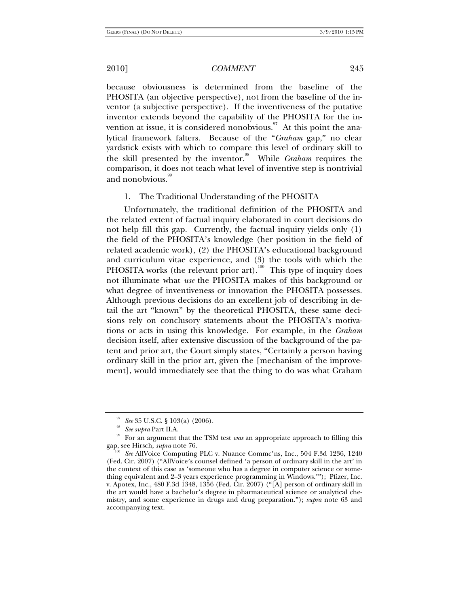because obviousness is determined from the baseline of the PHOSITA (an objective perspective), not from the baseline of the inventor (a subjective perspective). If the inventiveness of the putative inventor extends beyond the capability of the PHOSITA for the invention at issue, it is considered nonobvious. $\frac{97}{7}$  At this point the analytical framework falters. Because of the "*Graham* gap," no clear yardstick exists with which to compare this level of ordinary skill to the skill presented by the inventor.<sup>98</sup> While *Graham* requires the comparison, it does not teach what level of inventive step is nontrivial and nonobvious.<sup>99</sup>

#### 1. The Traditional Understanding of the PHOSITA

Unfortunately, the traditional definition of the PHOSITA and the related extent of factual inquiry elaborated in court decisions do not help fill this gap. Currently, the factual inquiry yields only (1) the field of the PHOSITA's knowledge (her position in the field of related academic work), (2) the PHOSITA's educational background and curriculum vitae experience, and (3) the tools with which the PHOSITA works (the relevant prior art).<sup>100</sup> This type of inquiry does not illuminate what *use* the PHOSITA makes of this background or what degree of inventiveness or innovation the PHOSITA possesses. Although previous decisions do an excellent job of describing in detail the art "known" by the theoretical PHOSITA, these same decisions rely on conclusory statements about the PHOSITA's motivations or acts in using this knowledge. For example, in the *Graham* decision itself, after extensive discussion of the background of the patent and prior art, the Court simply states, "Certainly a person having ordinary skill in the prior art, given the [mechanism of the improvement], would immediately see that the thing to do was what Graham

<sup>&</sup>lt;sup>97</sup> See 35 U.S.C. § 103(a) (2006).<br><sup>98</sup> See supra Part II.A.<br><sup>99</sup> For an argument that the TSM test *was* an appropriate approach to filling this gap, see Hirsch, *supra* note 76.

See AllVoice Computing PLC v. Nuance Commc'ns, Inc., 504 F.3d 1236, 1240 (Fed. Cir. 2007) ("AllVoice's counsel defined 'a person of ordinary skill in the art' in the context of this case as 'someone who has a degree in computer science or something equivalent and 2–3 years experience programming in Windows.'");Pfizer, Inc. v. Apotex, Inc., 480 F.3d 1348, 1356 (Fed. Cir. 2007) ("[A] person of ordinary skill in the art would have a bachelor's degree in pharmaceutical science or analytical chemistry, and some experience in drugs and drug preparation."); *supra* note 63 and accompanying text.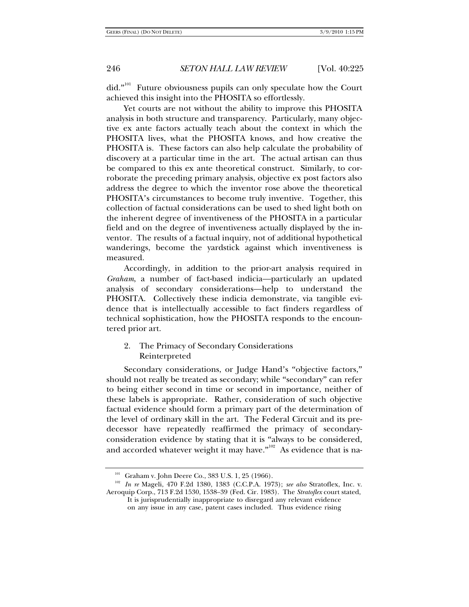did."<sup>101</sup> Future obviousness pupils can only speculate how the Court achieved this insight into the PHOSITA so effortlessly.

Yet courts are not without the ability to improve this PHOSITA analysis in both structure and transparency. Particularly, many objective ex ante factors actually teach about the context in which the PHOSITA lives, what the PHOSITA knows, and how creative the PHOSITA is. These factors can also help calculate the probability of discovery at a particular time in the art. The actual artisan can thus be compared to this ex ante theoretical construct. Similarly, to corroborate the preceding primary analysis, objective ex post factors also address the degree to which the inventor rose above the theoretical PHOSITA's circumstances to become truly inventive. Together, this collection of factual considerations can be used to shed light both on the inherent degree of inventiveness of the PHOSITA in a particular field and on the degree of inventiveness actually displayed by the inventor. The results of a factual inquiry, not of additional hypothetical wanderings, become the yardstick against which inventiveness is measured.

Accordingly, in addition to the prior-art analysis required in *Graham*, a number of fact-based indicia—particularly an updated analysis of secondary considerations—help to understand the PHOSITA. Collectively these indicia demonstrate, via tangible evidence that is intellectually accessible to fact finders regardless of technical sophistication, how the PHOSITA responds to the encountered prior art.

## 2. The Primacy of Secondary Considerations Reinterpreted

Secondary considerations, or Judge Hand's "objective factors," should not really be treated as secondary; while "secondary" can refer to being either second in time or second in importance, neither of these labels is appropriate. Rather, consideration of such objective factual evidence should form a primary part of the determination of the level of ordinary skill in the art. The Federal Circuit and its predecessor have repeatedly reaffirmed the primacy of secondaryconsideration evidence by stating that it is "always to be considered, and accorded whatever weight it may have.'' $^{102}$  As evidence that is na-

<sup>&</sup>lt;sup>101</sup> Graham v. John Deere Co., 383 U.S. 1, 25 (1966).<br><sup>102</sup> *In re* Mageli, 470 F.2d 1380, 1383 (C.C.P.A. 1973); *see also* Stratoflex, Inc. v. Aeroquip Corp., 713 F.2d 1530, 1538–39 (Fed. Cir. 1983). The *Stratoflex* court stated, It is jurisprudentially inappropriate to disregard any relevant evidence

on any issue in any case, patent cases included. Thus evidence rising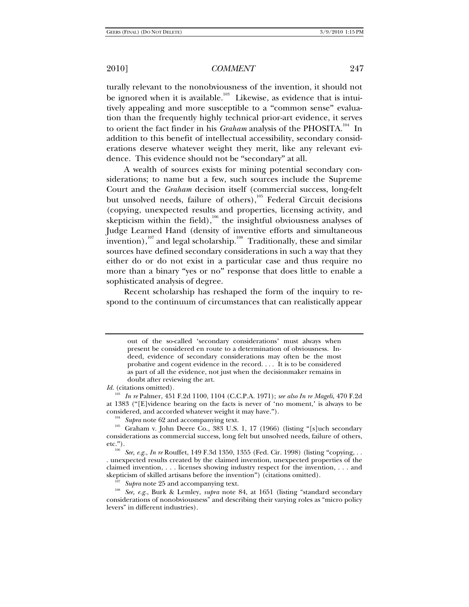turally relevant to the nonobviousness of the invention, it should not be ignored when it is available.<sup>103</sup> Likewise, as evidence that is intuitively appealing and more susceptible to a "common sense" evaluation than the frequently highly technical prior-art evidence, it serves to orient the fact finder in his *Graham* analysis of the PHOSITA.<sup>104</sup> In addition to this benefit of intellectual accessibility, secondary considerations deserve whatever weight they merit, like any relevant evidence. This evidence should not be "secondary" at all.

A wealth of sources exists for mining potential secondary considerations; to name but a few, such sources include the Supreme Court and the *Graham* decision itself (commercial success, long-felt but unsolved needs, failure of others),<sup>105</sup> Federal Circuit decisions (copying, unexpected results and properties, licensing activity, and skepticism within the field), $106$  the insightful obviousness analyses of Judge Learned Hand (density of inventive efforts and simultaneous invention),<sup>107</sup> and legal scholarship.<sup>108</sup> Traditionally, these and similar sources have defined secondary considerations in such a way that they either do or do not exist in a particular case and thus require no more than a binary "yes or no" response that does little to enable a sophisticated analysis of degree.

Recent scholarship has reshaped the form of the inquiry to respond to the continuum of circumstances that can realistically appear

*Id.* (citations omitted)*.* 

<sup>107</sup> Supra note 25 and accompanying text.<br><sup>108</sup> See, e.g., Burk & Lemley, *supra* note 84, at 1651 (listing "standard secondary considerations of nonobviousness" and describing their varying roles as "micro policy levers" in different industries).

out of the so-called 'secondary considerations' must always when present be considered en route to a determination of obviousness. Indeed, evidence of secondary considerations may often be the most probative and cogent evidence in the record. . . . It is to be considered as part of all the evidence, not just when the decisionmaker remains in doubt after reviewing the art.

<sup>103</sup> *In re* Palmer, 451 F.2d 1100, 1104 (C.C.P.A. 1971); *see also In re Mageli*, 470 F.2d at 1383 ("[E]vidence bearing on the facts is never of 'no moment,' is always to be

considered, and accorded whatever weight it may have.").<br><sup>104</sup> *Supra* note 62 and accompanying text.<br><sup>105</sup> Graham v. John Deere Co., 383 U.S. 1, 17 (1966) (listing "[s]uch secondary considerations as commercial success, long felt but unsolved needs, failure of others,

<sup>&</sup>lt;sup>106</sup> See, e.g., *In re* Rouffet, 149 F.3d 1350, 1355 (Fed. Cir. 1998) (listing "copying, . . . unexpected results created by the claimed invention, unexpected properties of the claimed invention, ... licenses showing industry respect for the invention, ... and skepticism of skilled artisans before the invention") (citations omitted).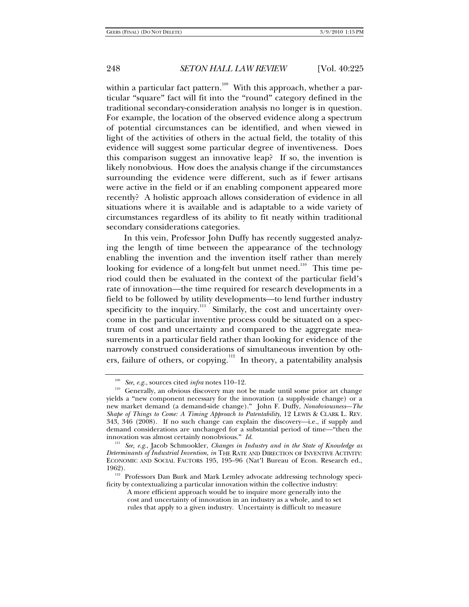within a particular fact pattern.<sup>109</sup> With this approach, whether a particular "square" fact will fit into the "round" category defined in the traditional secondary-consideration analysis no longer is in question. For example, the location of the observed evidence along a spectrum of potential circumstances can be identified, and when viewed in light of the activities of others in the actual field, the totality of this evidence will suggest some particular degree of inventiveness. Does this comparison suggest an innovative leap? If so, the invention is likely nonobvious. How does the analysis change if the circumstances surrounding the evidence were different, such as if fewer artisans were active in the field or if an enabling component appeared more recently? A holistic approach allows consideration of evidence in all situations where it is available and is adaptable to a wide variety of circumstances regardless of its ability to fit neatly within traditional secondary considerations categories.

In this vein, Professor John Duffy has recently suggested analyzing the length of time between the appearance of the technology enabling the invention and the invention itself rather than merely looking for evidence of a long-felt but unmet need.<sup>110</sup> This time period could then be evaluated in the context of the particular field's rate of innovation—the time required for research developments in a field to be followed by utility developments—to lend further industry specificity to the inquiry. $\frac{111}{10}$  Similarly, the cost and uncertainty overcome in the particular inventive process could be situated on a spectrum of cost and uncertainty and compared to the aggregate measurements in a particular field rather than looking for evidence of the narrowly construed considerations of simultaneous invention by others, failure of others, or copying.<sup>112</sup> In theory, a patentability analysis

<sup>&</sup>lt;sup>109</sup> See, e.g., sources cited *infra* notes 110–12.<br><sup>110</sup> Generally, an obvious discovery may not be made until some prior art change yields a "new component necessary for the innovation (a supply-side change) or a new market demand (a demand-side change)." John F. Duffy, *Nonobviousness—The Shape of Things to Come: A Timing Approach to Patentability*, 12 LEWIS & CLARK L. REV. 343, 346 (2008). If no such change can explain the discovery—i.e., if supply and demand considerations are unchanged for a substantial period of time—"then the innovation was almost certainly nonobvious." *Id.*

<sup>&</sup>lt;sup>111</sup> See, e.g., Jacob Schmookler, *Changes in Industry and in the State of Knowledge as Determinants of Industrial Invention*, *in* THE RATE AND DIRECTION OF INVENTIVE ACTIVITY: ECONOMIC AND SOCIAL FACTORS 195, 195–96 (Nat'l Bureau of Econ. Research ed.,

<sup>1962).&</sup>lt;br><sup>112</sup> Professors Dan Burk and Mark Lemley advocate addressing technology specificity by contextualizing a particular innovation within the collective industry:

A more efficient approach would be to inquire more generally into the cost and uncertainty of innovation in an industry as a whole, and to set rules that apply to a given industry. Uncertainty is difficult to measure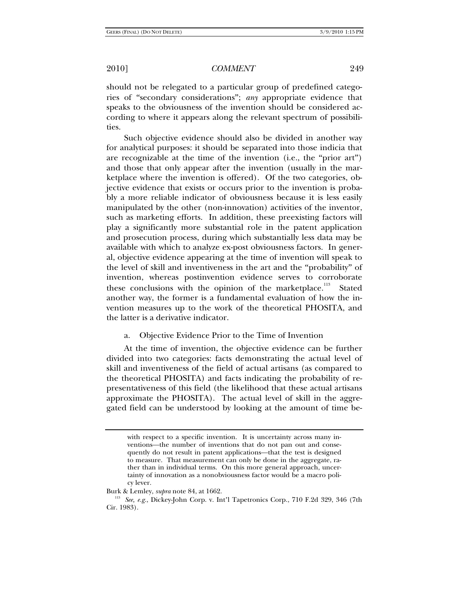should not be relegated to a particular group of predefined categories of "secondary considerations"; *any* appropriate evidence that speaks to the obviousness of the invention should be considered according to where it appears along the relevant spectrum of possibilities.

Such objective evidence should also be divided in another way for analytical purposes: it should be separated into those indicia that are recognizable at the time of the invention (i.e., the "prior art") and those that only appear after the invention (usually in the marketplace where the invention is offered). Of the two categories, objective evidence that exists or occurs prior to the invention is probably a more reliable indicator of obviousness because it is less easily manipulated by the other (non-innovation) activities of the inventor, such as marketing efforts. In addition, these preexisting factors will play a significantly more substantial role in the patent application and prosecution process, during which substantially less data may be available with which to analyze ex-post obviousness factors. In general, objective evidence appearing at the time of invention will speak to the level of skill and inventiveness in the art and the "probability" of invention, whereas postinvention evidence serves to corroborate these conclusions with the opinion of the marketplace.<sup>113</sup> Stated another way, the former is a fundamental evaluation of how the invention measures up to the work of the theoretical PHOSITA, and the latter is a derivative indicator.

#### a. Objective Evidence Prior to the Time of Invention

At the time of invention, the objective evidence can be further divided into two categories: facts demonstrating the actual level of skill and inventiveness of the field of actual artisans (as compared to the theoretical PHOSITA) and facts indicating the probability of representativeness of this field (the likelihood that these actual artisans approximate the PHOSITA). The actual level of skill in the aggregated field can be understood by looking at the amount of time be-

with respect to a specific invention. It is uncertainty across many inventions—the number of inventions that do not pan out and consequently do not result in patent applications—that the test is designed to measure. That measurement can only be done in the aggregate, rather than in individual terms. On this more general approach, uncertainty of innovation as a nonobviousness factor would be a macro policy lever.

Burk & Lemley, *supra* note 84, at 1662.<br><sup>113</sup> See, e.g., Dickey-John Corp. v. Int'l Tapetronics Corp., 710 F.2d 329, 346 (7th Cir. 1983).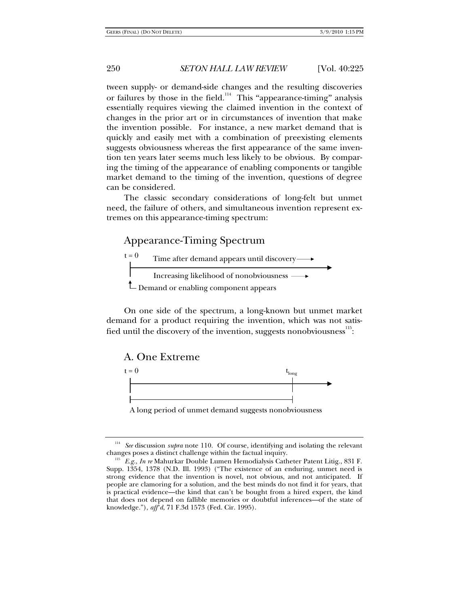tween supply- or demand-side changes and the resulting discoveries or failures by those in the field.<sup>114</sup> This "appearance-timing" analysis essentially requires viewing the claimed invention in the context of changes in the prior art or in circumstances of invention that make the invention possible. For instance, a new market demand that is quickly and easily met with a combination of preexisting elements suggests obviousness whereas the first appearance of the same invention ten years later seems much less likely to be obvious. By comparing the timing of the appearance of enabling components or tangible market demand to the timing of the invention, questions of degree can be considered.

The classic secondary considerations of long-felt but unmet need, the failure of others, and simultaneous invention represent extremes on this appearance-timing spectrum:

# Appearance-Timing Spectrum



On one side of the spectrum, a long-known but unmet market demand for a product requiring the invention, which was not satisfied until the discovery of the invention, suggests nonobviousness $^{115}$ :

A. One Extreme



A long period of unmet demand suggests nonobviousness

<sup>&</sup>lt;sup>114</sup> See discussion *supra* note 110. Of course, identifying and isolating the relevant changes poses a distinct challenge within the factual inquiry.

<sup>&</sup>lt;sup>115</sup> E.g., *In re* Mahurkar Double Lumen Hemodialysis Catheter Patent Litig., 831 F. Supp. 1354, 1378 (N.D. Ill. 1993) ("The existence of an enduring, unmet need is strong evidence that the invention is novel, not obvious, and not anticipated. If people are clamoring for a solution, and the best minds do not find it for years, that is practical evidence—the kind that can't be bought from a hired expert, the kind that does not depend on fallible memories or doubtful inferences—of the state of knowledge."), *aff'd*, 71 F.3d 1573 (Fed. Cir. 1995).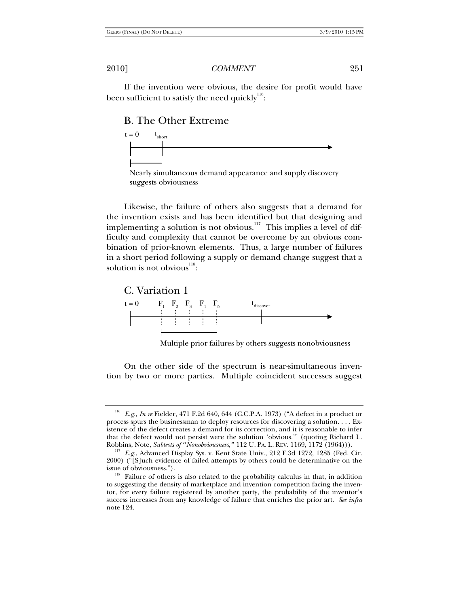If the invention were obvious, the desire for profit would have been sufficient to satisfy the need quickly  $116$  :

# B. The Other Extreme





Likewise, the failure of others also suggests that a demand for the invention exists and has been identified but that designing and implementing a solution is not obvious.<sup>117</sup> This implies a level of difficulty and complexity that cannot be overcome by an obvious combination of prior-known elements. Thus, a large number of failures in a short period following a supply or demand change suggest that a solution is not obvious $^{118}$ :



Multiple prior failures by others suggests nonobviousness

On the other side of the spectrum is near-simultaneous invention by two or more parties. Multiple coincident successes suggest

<sup>116</sup> *E.g.*, *In re* Fielder, 471 F.2d 640, 644 (C.C.P.A. 1973) ("A defect in a product or process spurs the businessman to deploy resources for discovering a solution. . . . Existence of the defect creates a demand for its correction, and it is reasonable to infer that the defect would not persist were the solution 'obvious.'" (quoting Richard L. Robbins, Note, Subtests of "Nonobviousness," 112 U. PA. L. REV. 1169, 1172 (1964))).

<sup>&</sup>lt;sup>117</sup> *E.g.*, Advanced Display Sys. v. Kent State Univ., 212 F.3d 1272, 1285 (Fed. Cir.  $2000$ ) ( $\sqrt[4]{S}$ ]uch evidence of failed attempts by others could be determinative on the

issue of obviousness.").<br><sup>118</sup> Failure of others is also related to the probability calculus in that, in addition to suggesting the density of marketplace and invention competition facing the inventor, for every failure registered by another party, the probability of the inventor's success increases from any knowledge of failure that enriches the prior art. *See infra* note 124.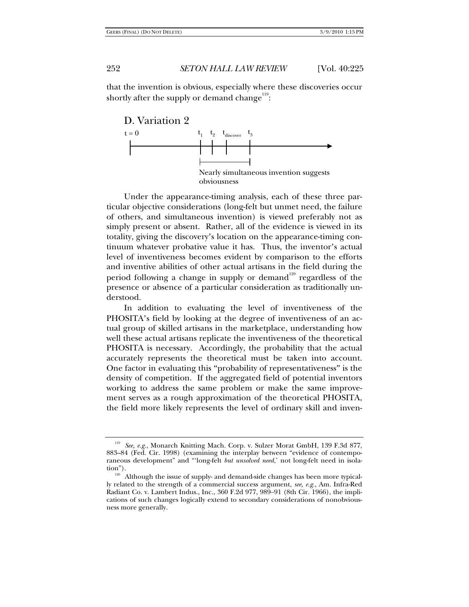that the invention is obvious, especially where these discoveries occur shortly after the supply or demand change  $\overline{119}$ :



Under the appearance-timing analysis, each of these three particular objective considerations (long-felt but unmet need, the failure of others, and simultaneous invention) is viewed preferably not as simply present or absent. Rather, all of the evidence is viewed in its totality, giving the discovery's location on the appearance-timing continuum whatever probative value it has. Thus, the inventor's actual level of inventiveness becomes evident by comparison to the efforts and inventive abilities of other actual artisans in the field during the period following a change in supply or demand<sup>120</sup> regardless of the presence or absence of a particular consideration as traditionally understood.

In addition to evaluating the level of inventiveness of the PHOSITA's field by looking at the degree of inventiveness of an actual group of skilled artisans in the marketplace, understanding how well these actual artisans replicate the inventiveness of the theoretical PHOSITA is necessary. Accordingly, the probability that the actual accurately represents the theoretical must be taken into account. One factor in evaluating this "probability of representativeness" is the density of competition. If the aggregated field of potential inventors working to address the same problem or make the same improvement serves as a rough approximation of the theoretical PHOSITA, the field more likely represents the level of ordinary skill and inven-

<sup>119</sup> *See, e.g.*, Monarch Knitting Mach. Corp. v. Sulzer Morat GmbH, 139 F.3d 877, 883–84 (Fed. Cir. 1998) (examining the interplay between "evidence of contemporaneous development" and "'long-felt *but unsolved need*,' not long-felt need in isola-

tion").<br><sup>120</sup> Although the issue of supply- and demand-side changes has been more typically related to the strength of a commercial success argument, *see, e.g.*, Am. Infra-Red Radiant Co. v. Lambert Indus., Inc., 360 F.2d 977, 989–91 (8th Cir. 1966), the implications of such changes logically extend to secondary considerations of nonobviousness more generally.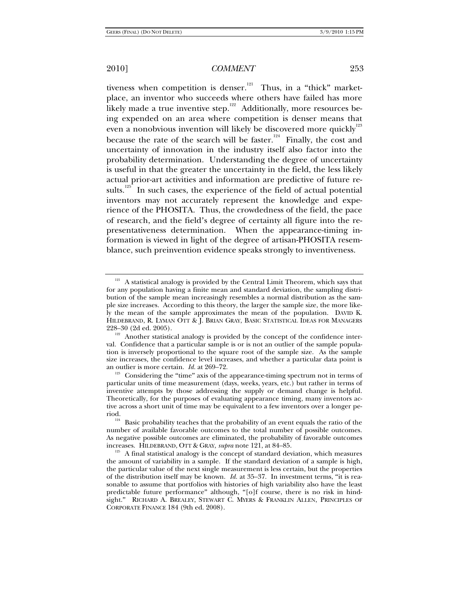tiveness when competition is denser.<sup>121</sup> Thus, in a "thick" marketplace, an inventor who succeeds where others have failed has more likely made a true inventive step. $122$  Additionally, more resources being expended on an area where competition is denser means that even a nonobvious invention will likely be discovered more quickly<sup>123</sup> because the rate of the search will be faster.<sup>124</sup> Finally, the cost and uncertainty of innovation in the industry itself also factor into the probability determination. Understanding the degree of uncertainty is useful in that the greater the uncertainty in the field, the less likely actual prior-art activities and information are predictive of future results.<sup>125</sup> In such cases, the experience of the field of actual potential inventors may not accurately represent the knowledge and experience of the PHOSITA. Thus, the crowdedness of the field, the pace of research, and the field's degree of certainty all figure into the representativeness determination. When the appearance-timing information is viewed in light of the degree of artisan-PHOSITA resemblance, such preinvention evidence speaks strongly to inventiveness.

 $121$  A statistical analogy is provided by the Central Limit Theorem, which says that for any population having a finite mean and standard deviation, the sampling distribution of the sample mean increasingly resembles a normal distribution as the sample size increases. According to this theory, the larger the sample size, the more likely the mean of the sample approximates the mean of the population. DAVID K. HILDEBRAND, R. LYMAN OTT & J. BRIAN GRAY, BASIC STATISTICAL IDEAS FOR MANAGERS 228-30 (2d ed. 2005).

 $122$  Another statistical analogy is provided by the concept of the confidence interval. Confidence that a particular sample is or is not an outlier of the sample population is inversely proportional to the square root of the sample size. As the sample size increases, the confidence level increases, and whether a particular data point is

an outlier is more certain. *Id.* at 269–72.<br><sup>123</sup> Considering the "time" axis of the appearance-timing spectrum not in terms of particular units of time measurement (days, weeks, years, etc.) but rather in terms of inventive attempts by those addressing the supply or demand change is helpful. Theoretically, for the purposes of evaluating appearance timing, many inventors active across a short unit of time may be equivalent to a few inventors over a longer pe-

<sup>&</sup>lt;sup>124</sup> Basic probability teaches that the probability of an event equals the ratio of the number of available favorable outcomes to the total number of possible outcomes. As negative possible outcomes are eliminated, the probability of favorable outcomes increases. HILDEBRAND, OTT & GRAY, *supra* note 121, at 84–85.<br><sup>125</sup> A final statistical analogy is the concept of standard deviation, which measures

the amount of variability in a sample. If the standard deviation of a sample is high, the particular value of the next single measurement is less certain, but the properties of the distribution itself may be known. *Id.* at 35–37. In investment terms, "it is reasonable to assume that portfolios with histories of high variability also have the least predictable future performance" although, "[o]f course, there is no risk in hindsight." RICHARD A. BREALEY, STEWART C. MYERS & FRANKLIN ALLEN, PRINCIPLES OF CORPORATE FINANCE 184 (9th ed. 2008).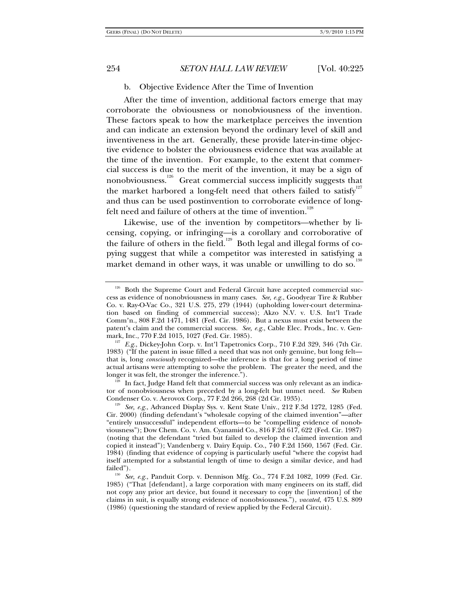b. Objective Evidence After the Time of Invention

After the time of invention, additional factors emerge that may corroborate the obviousness or nonobviousness of the invention. These factors speak to how the marketplace perceives the invention and can indicate an extension beyond the ordinary level of skill and inventiveness in the art. Generally, these provide later-in-time objective evidence to bolster the obviousness evidence that was available at the time of the invention. For example, to the extent that commercial success is due to the merit of the invention, it may be a sign of nonobviousness.<sup>126</sup> Great commercial success implicitly suggests that the market harbored a long-felt need that others failed to satisfy<sup>127</sup> and thus can be used postinvention to corroborate evidence of longfelt need and failure of others at the time of invention.<sup>128</sup>

Likewise, use of the invention by competitors—whether by licensing, copying, or infringing—is a corollary and corroborative of the failure of others in the field.<sup>129</sup> Both legal and illegal forms of copying suggest that while a competitor was interested in satisfying a market demand in other ways, it was unable or unwilling to do so.<sup>13</sup>

 $\overline{\mathrm{e}}^{\mathrm{e}}$  In fact, Judge Hand felt that commercial success was only relevant as an indicator of nonobviousness when preceded by a long-felt but unmet need. *See* Ruben Condenser Co. v. Aerovox Corp., 77 F.2d 266, 268 (2d Cir. 1935).

 $126$  Both the Supreme Court and Federal Circuit have accepted commercial success as evidence of nonobviousness in many cases. *See, e.g.*, Goodyear Tire & Rubber Co. v. Ray-O-Vac Co., 321 U.S. 275, 279 (1944) (upholding lower-court determination based on finding of commercial success); Akzo N.V. v. U.S. Int'l Trade Comm'n., 808 F.2d 1471, 1481 (Fed. Cir. 1986). But a nexus must exist between the patent's claim and the commercial success. *See, e.g.*, Cable Elec. Prods., Inc. v. Gen-mark, Inc., 770 F.2d 1015, 1027 (Fed. Cir. 1985).

<sup>&</sup>lt;sup>127</sup> E.g., Dickey-John Corp. v. Int'l Tapetronics Corp., 710 F.2d 329, 346 (7th Cir. 1983) ("If the patent in issue filled a need that was not only genuine, but long felt that is, long *consciously* recognized—the inference is that for a long period of time actual artisans were attempting to solve the problem. The greater the need, and the longer it was felt, the stronger the inference.").

<sup>&</sup>lt;sup>129</sup> See, e.g., Advanced Display Sys. v. Kent State Univ., 212 F.3d 1272, 1285 (Fed. Cir. 2000) (finding defendant's "wholesale copying of the claimed invention"—after "entirely unsuccessful" independent efforts—to be "compelling evidence of nonobviousness"); Dow Chem. Co. v. Am. Cyanamid Co., 816 F.2d 617, 622 (Fed. Cir. 1987) (noting that the defendant "tried but failed to develop the claimed invention and copied it instead"); Vandenberg v. Dairy Equip. Co., 740 F.2d 1560, 1567 (Fed. Cir. 1984) (finding that evidence of copying is particularly useful "where the copyist had itself attempted for a substantial length of time to design a similar device, and had

failed"). 130 *See, e.g.*, Panduit Corp. v. Dennison Mfg. Co., 774 F.2d 1082, 1099 (Fed. Cir. 1985) ("That [defendant], a large corporation with many engineers on its staff, did not copy any prior art device, but found it necessary to copy the [invention] of the claims in suit, is equally strong evidence of nonobviousness."), *vacated*, 475 U.S. 809 (1986) (questioning the standard of review applied by the Federal Circuit).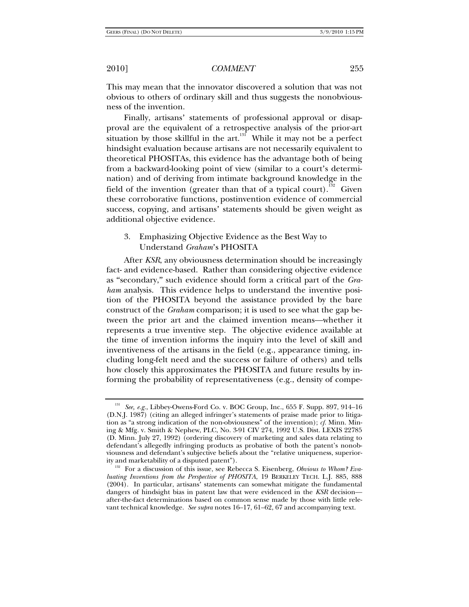This may mean that the innovator discovered a solution that was not obvious to others of ordinary skill and thus suggests the nonobviousness of the invention.

Finally, artisans' statements of professional approval or disapproval are the equivalent of a retrospective analysis of the prior-art situation by those skillful in the art. $131$  While it may not be a perfect hindsight evaluation because artisans are not necessarily equivalent to theoretical PHOSITAs, this evidence has the advantage both of being from a backward-looking point of view (similar to a court's determination) and of deriving from intimate background knowledge in the field of the invention (greater than that of a typical court).<sup>132</sup> Given these corroborative functions, postinvention evidence of commercial success, copying, and artisans' statements should be given weight as additional objective evidence.

## 3. Emphasizing Objective Evidence as the Best Way to Understand *Graham*'s PHOSITA

After *KSR*, any obviousness determination should be increasingly fact- and evidence-based. Rather than considering objective evidence as "secondary," such evidence should form a critical part of the *Graham* analysis. This evidence helps to understand the inventive position of the PHOSITA beyond the assistance provided by the bare construct of the *Graham* comparison; it is used to see what the gap between the prior art and the claimed invention means—whether it represents a true inventive step. The objective evidence available at the time of invention informs the inquiry into the level of skill and inventiveness of the artisans in the field (e.g., appearance timing, including long-felt need and the success or failure of others) and tells how closely this approximates the PHOSITA and future results by informing the probability of representativeness (e.g., density of compe-

<sup>131</sup> *See, e.g.*, Libbey-Owens-Ford Co. v. BOC Group, Inc., 655 F. Supp. 897, 914–16 (D.N.J. 1987) (citing an alleged infringer's statements of praise made prior to litigation as "a strong indication of the non-obviousness" of the invention); *cf.* Minn. Mining & Mfg. v. Smith & Nephew, PLC, No. 3-91 CIV 274, 1992 U.S. Dist. LEXIS 22785 (D. Minn. July 27, 1992) (ordering discovery of marketing and sales data relating to defendant's allegedly infringing products as probative of both the patent's nonobviousness and defendant's subjective beliefs about the "relative uniqueness, superior-

ity and marketability of a disputed patent"). 132 For a discussion of this issue, see Rebecca S. Eisenberg, *Obvious to Whom? Evaluating Inventions from the Perspective of PHOSITA*, 19 BERKELEY TECH. L.J. 885, 888 (2004). In particular, artisans' statements can somewhat mitigate the fundamental dangers of hindsight bias in patent law that were evidenced in the *KSR* decision after-the-fact determinations based on common sense made by those with little relevant technical knowledge. *See supra* notes 16–17, 61–62, 67 and accompanying text.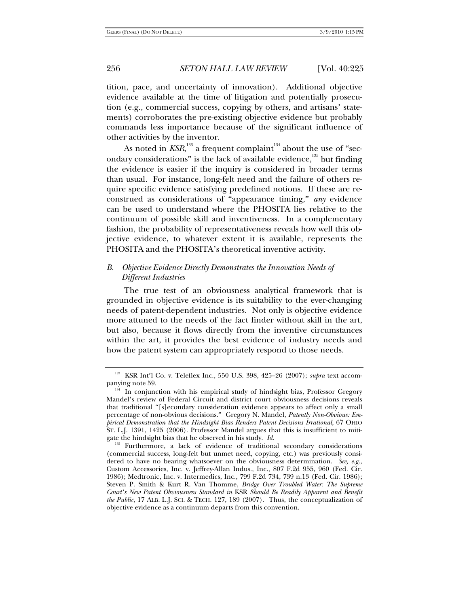tition, pace, and uncertainty of innovation). Additional objective evidence available at the time of litigation and potentially prosecution (e.g., commercial success, copying by others, and artisans' statements) corroborates the pre-existing objective evidence but probably commands less importance because of the significant influence of other activities by the inventor.

As noted in  $\mathit{KSR}^{^{133}}$  a frequent complaint $^{^{134}}$  about the use of "secondary considerations" is the lack of available evidence, $135$  but finding the evidence is easier if the inquiry is considered in broader terms than usual. For instance, long-felt need and the failure of others require specific evidence satisfying predefined notions. If these are reconstrued as considerations of "appearance timing," *any* evidence can be used to understand where the PHOSITA lies relative to the continuum of possible skill and inventiveness. In a complementary fashion, the probability of representativeness reveals how well this objective evidence, to whatever extent it is available, represents the PHOSITA and the PHOSITA's theoretical inventive activity.

# *B. Objective Evidence Directly Demonstrates the Innovation Needs of Different Industries*

The true test of an obviousness analytical framework that is grounded in objective evidence is its suitability to the ever-changing needs of patent-dependent industries. Not only is objective evidence more attuned to the needs of the fact finder without skill in the art, but also, because it flows directly from the inventive circumstances within the art, it provides the best evidence of industry needs and how the patent system can appropriately respond to those needs.

<sup>133</sup> KSR Int'l Co. v. Teleflex Inc., 550 U.S. 398, 425–26 (2007); *supra* text accom-

panying note 59.<br><sup>134</sup> In conjunction with his empirical study of hindsight bias, Professor Gregory Mandel's review of Federal Circuit and district court obviousness decisions reveals that traditional "[s]econdary consideration evidence appears to affect only a small percentage of non-obvious decisions." Gregory N. Mandel, *Patently Non-Obvious: Empirical Demonstration that the Hindsight Bias Renders Patent Decisions Irrational*, 67 OHIO ST. L.J. 1391, 1425 (2006). Professor Mandel argues that this is insufficient to mitigate the hindsight bias that he observed in his study. *Id.*

<sup>&</sup>lt;sup>135</sup> Furthermore, a lack of evidence of traditional secondary considerations (commercial success, long-felt but unmet need, copying, etc.) was previously considered to have no bearing whatsoever on the obviousness determination. *See, e.g.*, Custom Accessories, Inc. v. Jeffrey-Allan Indus., Inc., 807 F.2d 955, 960 (Fed. Cir. 1986); Medtronic, Inc. v. Intermedics, Inc., 799 F.2d 734, 739 n.13 (Fed. Cir. 1986); Steven P. Smith & Kurt R. Van Thomme, *Bridge Over Troubled Water: The Supreme Court's New Patent Obviousness Standard in* KSR *Should Be Readily Apparent and Benefit the Public*, 17 ALB. L.J. SCI. & TECH. 127, 189 (2007). Thus, the conceptualization of objective evidence as a continuum departs from this convention.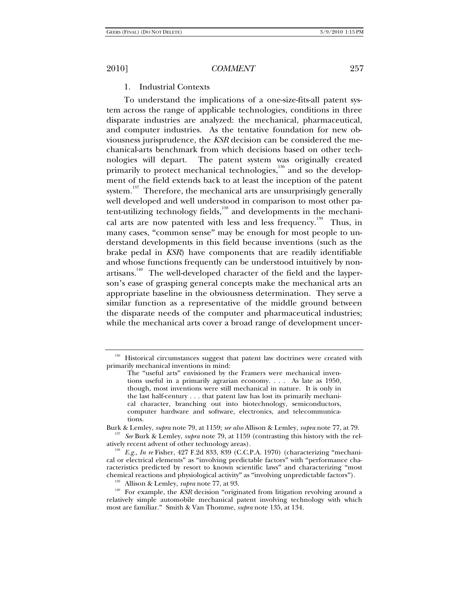### 1. Industrial Contexts

To understand the implications of a one-size-fits-all patent system across the range of applicable technologies, conditions in three disparate industries are analyzed: the mechanical, pharmaceutical, and computer industries. As the tentative foundation for new obviousness jurisprudence, the *KSR* decision can be considered the mechanical-arts benchmark from which decisions based on other technologies will depart. The patent system was originally created primarily to protect mechanical technologies,<sup>136</sup> and so the development of the field extends back to at least the inception of the patent system.<sup>137</sup> Therefore, the mechanical arts are unsurprisingly generally well developed and well understood in comparison to most other patent-utilizing technology fields, $\overline{138}$  and developments in the mechanical arts are now patented with less and less frequency.<sup>139</sup> Thus, in many cases, "common sense" may be enough for most people to understand developments in this field because inventions (such as the brake pedal in *KSR*) have components that are readily identifiable and whose functions frequently can be understood intuitively by nonartisans.<sup>140</sup> The well-developed character of the field and the layperson's ease of grasping general concepts make the mechanical arts an appropriate baseline in the obviousness determination. They serve a similar function as a representative of the middle ground between the disparate needs of the computer and pharmaceutical industries; while the mechanical arts cover a broad range of development uncer-

<sup>&</sup>lt;sup>136</sup> Historical circumstances suggest that patent law doctrines were created with primarily mechanical inventions in mind:

The "useful arts" envisioned by the Framers were mechanical inventions useful in a primarily agrarian economy. . . . As late as 1950, though, most inventions were still mechanical in nature. It is only in the last half-century . . . that patent law has lost its primarily mechanical character, branching out into biotechnology, semiconductors, computer hardware and software, electronics, and telecommunications.

Burk & Lemley, *supra* note 79, at 1159; *see also* Allison & Lemley, *supra* note 77, at 79. 137 *See* Burk & Lemley, *supra* note 79, at 1159 (contrasting this history with the rel-

<sup>&</sup>lt;sup>138</sup> E.g., *In re* Fisher, 427 F.2d 833, 839 (C.C.P.A. 1970) (characterizing "mechanical or electrical elements" as "involving predictable factors" with "performance characteristics predicted by resort to known scientific laws" and characterizing "most chemical reactions and physiological activity" as "involving unpredictable factors").

<sup>&</sup>lt;sup>139</sup> Allison & Lemley, *supra* note 77, at 93. 140 For example, the *KSR* decision "originated from litigation revolving around a relatively simple automobile mechanical patent involving technology with which most are familiar." Smith & Van Thomme, *supra* note 135, at 134.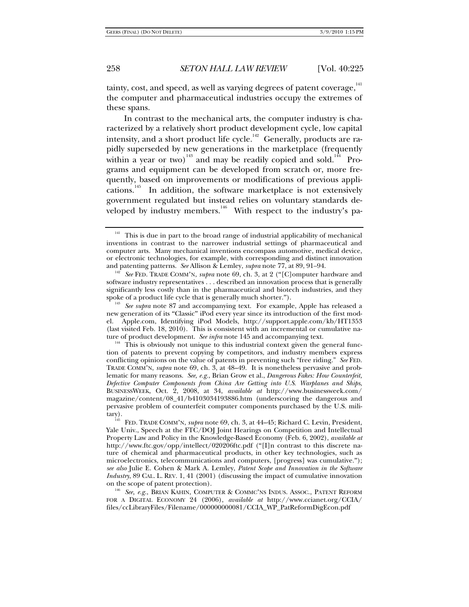tainty, cost, and speed, as well as varying degrees of patent coverage, $141$ the computer and pharmaceutical industries occupy the extremes of these spans.

In contrast to the mechanical arts, the computer industry is characterized by a relatively short product development cycle, low capital intensity, and a short product life cycle.<sup>142</sup> Generally, products are rapidly superseded by new generations in the marketplace (frequently within a year or two)<sup>143</sup> and may be readily copied and sold.<sup>144</sup> Programs and equipment can be developed from scratch or, more frequently, based on improvements or modifications of previous applications.145 In addition, the software marketplace is not extensively government regulated but instead relies on voluntary standards developed by industry members.<sup>146</sup> With respect to the industry's pa-

<sup>&</sup>lt;sup>141</sup> This is due in part to the broad range of industrial applicability of mechanical inventions in contrast to the narrower industrial settings of pharmaceutical and computer arts. Many mechanical inventions encompass automotive, medical device, or electronic technologies, for example, with corresponding and distinct innovation and patenting patterns. *See* Allison & Lemley, *supra* note 77, at 89, 91–94.<br><sup>142</sup> *See* FED. TRADE COMM'N, *supra* note 69, ch. 3, at 2 ("[C]omputer hardware and

software industry representatives . . . described an innovation process that is generally significantly less costly than in the pharmaceutical and biotech industries, and they spoke of a product life cycle that is generally much shorter.").

<sup>&</sup>lt;sup>143</sup> See supra note 87 and accompanying text. For example, Apple has released a new generation of its "Classic" iPod every year since its introduction of the first model. Apple.com, Identifying iPod Models, http://support.apple.com/kb/HT1353 (last visited Feb. 18, 2010). This is consistent with an incremental or cumulative nature of product development. *See infra* note 145 and accompanying text.

<sup>&</sup>lt;sup>144</sup> This is obviously not unique to this industrial context given the general function of patents to prevent copying by competitors, and industry members express conflicting opinions on the value of patents in preventing such "free riding." *See* FED. TRADE COMM'N, *supra* note 69, ch. 3, at 48–49. It is nonetheless pervasive and problematic for many reasons. *See, e.g.*, Brian Grow et al., *Dangerous Fakes: How Counterfeit, Defective Computer Components from China Are Getting into U.S. Warplanes and Ships*, BUSINESSWEEK, Oct. 2, 2008, at 34, *available at* http://www.businessweek.com/ magazine/content/08\_41/b4103034193886.htm (underscoring the dangerous and pervasive problem of counterfeit computer components purchased by the U.S. mili-

tary). 145 FED. TRADE COMM'N, *supra* note 69, ch. 3, at 44–45; Richard C. Levin, President, Yale Univ., Speech at the FTC/DOJ Joint Hearings on Competition and Intellectual Property Law and Policy in the Knowledge-Based Economy (Feb. 6, 2002), *available at* http://www.ftc.gov/opp/intellect/020206ftc.pdf ("[I]n contrast to this discrete nature of chemical and pharmaceutical products, in other key technologies, such as microelectronics, telecommunications and computers, [progress] was cumulative."); *see also* Julie E. Cohen & Mark A. Lemley, *Patent Scope and Innovation in the Software Industry*, 89 CAL. L. REV. 1, 41 (2001) (discussing the impact of cumulative innovation on the scope of patent protection).

<sup>&</sup>lt;sup>146</sup> See, e.g., Brian Kahin, Computer & Commc'ns Indus. Assoc., Patent Reform FOR A DIGITAL ECONOMY 24 (2006), *available at* http://www.ccianet.org/CCIA/ files/ccLibraryFiles/Filename/000000000081/CCIA\_WP\_PatReformDigEcon.pdf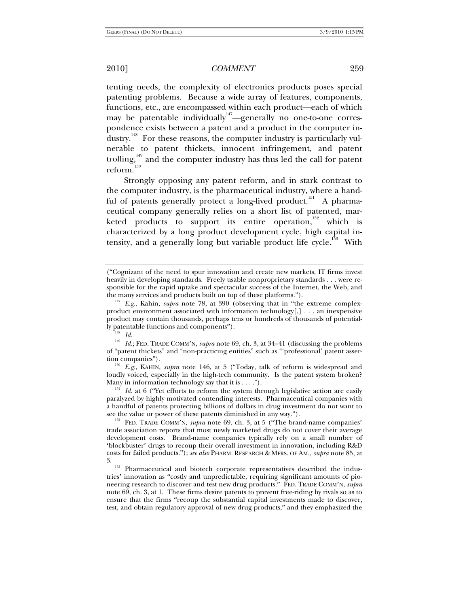tenting needs, the complexity of electronics products poses special patenting problems. Because a wide array of features, components, functions, etc., are encompassed within each product—each of which may be patentable individually <sup>147</sup>—generally no one-to-one correspondence exists between a patent and a product in the computer industry.<sup>148</sup> For these reasons, the computer industry is particularly vulnerable to patent thickets, innocent infringement, and patent trolling, $149$  and the computer industry has thus led the call for patent  $reform.<sup>150</sup>$ 

Strongly opposing any patent reform, and in stark contrast to the computer industry, is the pharmaceutical industry, where a handful of patents generally protect a long-lived product.<sup>151</sup> A pharmaceutical company generally relies on a short list of patented, marketed products to support its entire operation, $152$  which is characterized by a long product development cycle, high capital intensity, and a generally long but variable product life cycle.<sup>153</sup> With

<sup>149</sup> *Id.*; FED. TRADE COMM'N, *supra* note 69, ch. 3, at 34–41 (discussing the problems of "patent thickets" and "non-practicing entities" such as "'professional' patent asser-

<sup>150</sup> E.g., KAHIN, *supra* note 146, at 5 ("Today, talk of reform is widespread and loudly voiced, especially in the high-tech community. Is the patent system broken?<br>Many in information technology say that it is  $\dots$ .").

 $^{151}$  *Id.* at 6 ("Yet efforts to reform the system through legislative action are easily paralyzed by highly motivated contending interests. Pharmaceutical companies with a handful of patents protecting billions of dollars in drug investment do not want to see the value or power of these patents diminished in any way.").<br><sup>152</sup> FED. TRADE COMM'N, *supra* note 69, ch. 3, at 5 ("The brand-name companies'

trade association reports that most newly marketed drugs do not cover their average development costs. Brand-name companies typically rely on a small number of 'blockbuster' drugs to recoup their overall investment in innovation, including R&D costs for failed products."); *see also* PHARM. RESEARCH & MFRS. OF AM., *supra* note 85, at 3. 153 Pharmaceutical and biotech corporate representatives described the indus-

tries' innovation as "costly and unpredictable, requiring significant amounts of pioneering research to discover and test new drug products." FED. TRADE COMM'N, *supra* note 69, ch. 3, at 1. These firms desire patents to prevent free-riding by rivals so as to ensure that the firms "recoup the substantial capital investments made to discover, test, and obtain regulatory approval of new drug products," and they emphasized the

<sup>(</sup>"Cognizant of the need to spur innovation and create new markets, IT firms invest heavily in developing standards. Freely usable nonproprietary standards . . . were responsible for the rapid uptake and spectacular success of the Internet, the Web, and the many services and products built on top of these platforms.").

 $t^{147}$  *E.g.*, Kahin, *supra* note 78, at 390 (observing that in "the extreme complexproduct environment associated with information technology[,] . . . an inexpensive product may contain thousands, perhaps tens or hundreds of thousands of potentially patentable functions and components"). 148 *Id.*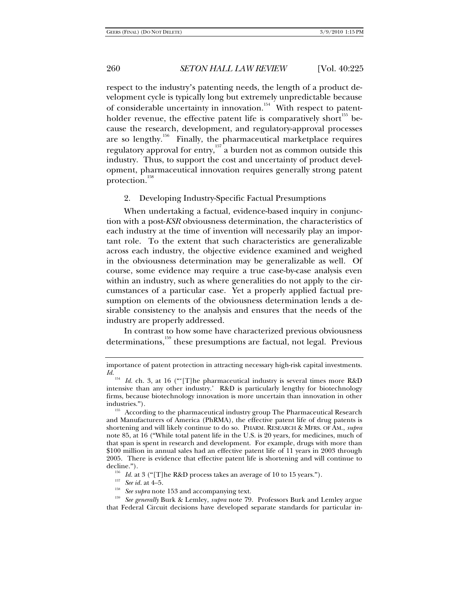respect to the industry's patenting needs, the length of a product development cycle is typically long but extremely unpredictable because of considerable uncertainty in innovation.<sup>154</sup> With respect to patentholder revenue, the effective patent life is comparatively short<sup>155</sup> because the research, development, and regulatory-approval processes are so lengthy.<sup>156</sup> Finally, the pharmaceutical marketplace requires regulatory approval for entry,157 a burden not as common outside this industry. Thus, to support the cost and uncertainty of product development, pharmaceutical innovation requires generally strong patent protection.<sup>158</sup>

2. Developing Industry-Specific Factual Presumptions

When undertaking a factual, evidence-based inquiry in conjunction with a post-*KSR* obviousness determination, the characteristics of each industry at the time of invention will necessarily play an important role. To the extent that such characteristics are generalizable across each industry, the objective evidence examined and weighed in the obviousness determination may be generalizable as well. Of course, some evidence may require a true case-by-case analysis even within an industry, such as where generalities do not apply to the circumstances of a particular case. Yet a properly applied factual presumption on elements of the obviousness determination lends a desirable consistency to the analysis and ensures that the needs of the industry are properly addressed.

In contrast to how some have characterized previous obviousness determinations,<sup>159</sup> these presumptions are factual, not legal. Previous

importance of patent protection in attracting necessary high-risk capital investments. *Id.*

Id. ch. 3, at 16 ("'[T]he pharmaceutical industry is several times more R&D intensive than any other industry.' R&D is particularly lengthy for biotechnology firms, because biotechnology innovation is more uncertain than innovation in other industries."). 155 According to the pharmaceutical industry group The Pharmaceutical Research

and Manufacturers of America (PhRMA), the effective patent life of drug patents is shortening and will likely continue to do so. PHARM. RESEARCH & MFRS. OF AM., *supra* note 85, at 16 ("While total patent life in the U.S. is 20 years, for medicines, much of that span is spent in research and development. For example, drugs with more than \$100 million in annual sales had an effective patent life of 11 years in 2003 through 2005. There is evidence that effective patent life is shortening and will continue to

decline.").<br>
<sup>156</sup> *Id.* at 3 ("[T]he R&D process takes an average of 10 to 15 years.").<br>
<sup>157</sup> *See id.* at 4–5.<br>
<sup>158</sup> *See supra* note 153 and accompanying text.<br>
<sup>159</sup> *See generally* Burk & Lemley, *supra* note 79. P that Federal Circuit decisions have developed separate standards for particular in-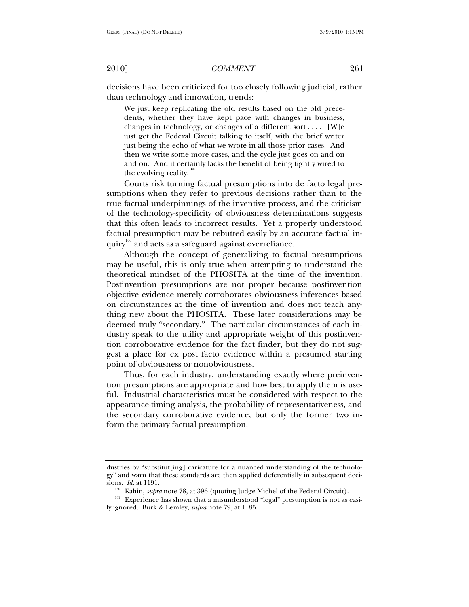decisions have been criticized for too closely following judicial, rather than technology and innovation, trends:

We just keep replicating the old results based on the old precedents, whether they have kept pace with changes in business, changes in technology, or changes of a different sort.... [W]e just get the Federal Circuit talking to itself, with the brief writer just being the echo of what we wrote in all those prior cases. And then we write some more cases, and the cycle just goes on and on and on. And it certainly lacks the benefit of being tightly wired to the evolving reality.

Courts risk turning factual presumptions into de facto legal presumptions when they refer to previous decisions rather than to the true factual underpinnings of the inventive process, and the criticism of the technology-specificity of obviousness determinations suggests that this often leads to incorrect results. Yet a properly understood factual presumption may be rebutted easily by an accurate factual inquiry<sup>161</sup> and acts as a safeguard against overreliance.

Although the concept of generalizing to factual presumptions may be useful, this is only true when attempting to understand the theoretical mindset of the PHOSITA at the time of the invention. Postinvention presumptions are not proper because postinvention objective evidence merely corroborates obviousness inferences based on circumstances at the time of invention and does not teach anything new about the PHOSITA. These later considerations may be deemed truly "secondary." The particular circumstances of each industry speak to the utility and appropriate weight of this postinvention corroborative evidence for the fact finder, but they do not suggest a place for ex post facto evidence within a presumed starting point of obviousness or nonobviousness.

Thus, for each industry, understanding exactly where preinvention presumptions are appropriate and how best to apply them is useful. Industrial characteristics must be considered with respect to the appearance-timing analysis, the probability of representativeness, and the secondary corroborative evidence, but only the former two inform the primary factual presumption.

dustries by "substitut[ing] caricature for a nuanced understanding of the technology" and warn that these standards are then applied deferentially in subsequent deci-

if Islam Kahin, *supra* note 78, at 396 (quoting Judge Michel of the Federal Circuit).<br><sup>161</sup> Experience has shown that a misunderstood "legal" presumption is not as easily ignored. Burk & Lemley, *supra* note 79, at 1185.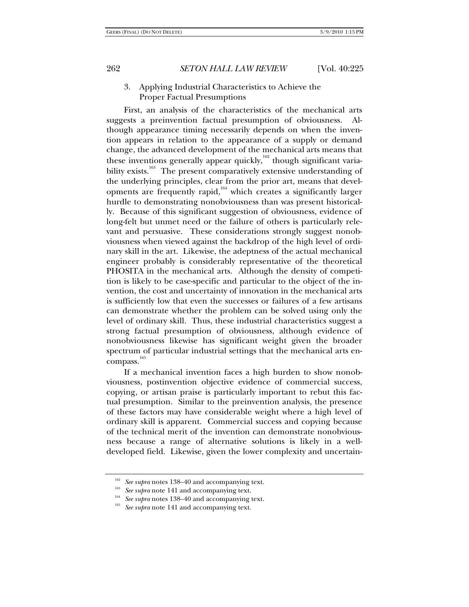# 3. Applying Industrial Characteristics to Achieve the Proper Factual Presumptions

First, an analysis of the characteristics of the mechanical arts suggests a preinvention factual presumption of obviousness. Although appearance timing necessarily depends on when the invention appears in relation to the appearance of a supply or demand change, the advanced development of the mechanical arts means that these inventions generally appear quickly, $162$  though significant variability exists.<sup>163</sup> The present comparatively extensive understanding of the underlying principles, clear from the prior art, means that developments are frequently rapid, $164$  which creates a significantly larger hurdle to demonstrating nonobviousness than was present historically. Because of this significant suggestion of obviousness, evidence of long-felt but unmet need or the failure of others is particularly relevant and persuasive. These considerations strongly suggest nonobviousness when viewed against the backdrop of the high level of ordinary skill in the art. Likewise, the adeptness of the actual mechanical engineer probably is considerably representative of the theoretical PHOSITA in the mechanical arts. Although the density of competition is likely to be case-specific and particular to the object of the invention, the cost and uncertainty of innovation in the mechanical arts is sufficiently low that even the successes or failures of a few artisans can demonstrate whether the problem can be solved using only the level of ordinary skill. Thus, these industrial characteristics suggest a strong factual presumption of obviousness, although evidence of nonobviousness likewise has significant weight given the broader spectrum of particular industrial settings that the mechanical arts encompass.<sup>165</sup>

If a mechanical invention faces a high burden to show nonobviousness, postinvention objective evidence of commercial success, copying, or artisan praise is particularly important to rebut this factual presumption. Similar to the preinvention analysis, the presence of these factors may have considerable weight where a high level of ordinary skill is apparent. Commercial success and copying because of the technical merit of the invention can demonstrate nonobviousness because a range of alternative solutions is likely in a welldeveloped field. Likewise, given the lower complexity and uncertain-

<sup>&</sup>lt;sup>163</sup> See supra notes 138–40 and accompanying text.<br><sup>163</sup> See supra note 141 and accompanying text.<br><sup>165</sup> See supra note 141 and accompanying text.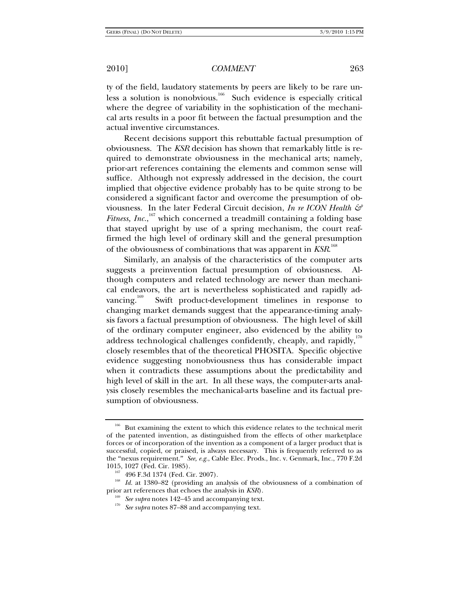ty of the field, laudatory statements by peers are likely to be rare unless a solution is nonobvious.<sup>166</sup> Such evidence is especially critical where the degree of variability in the sophistication of the mechanical arts results in a poor fit between the factual presumption and the actual inventive circumstances.

Recent decisions support this rebuttable factual presumption of obviousness. The *KSR* decision has shown that remarkably little is required to demonstrate obviousness in the mechanical arts; namely, prior-art references containing the elements and common sense will suffice. Although not expressly addressed in the decision, the court implied that objective evidence probably has to be quite strong to be considered a significant factor and overcome the presumption of obviousness. In the later Federal Circuit decision, *In re ICON Health &*  Fitness, Inc.,  ${}^{167}$  which concerned a treadmill containing a folding base that stayed upright by use of a spring mechanism, the court reaffirmed the high level of ordinary skill and the general presumption of the obviousness of combinations that was apparent in *KSR*. 168

Similarly, an analysis of the characteristics of the computer arts suggests a preinvention factual presumption of obviousness. Although computers and related technology are newer than mechanical endeavors, the art is nevertheless sophisticated and rapidly advancing.<sup>169</sup> Swift product-development timelines in response to changing market demands suggest that the appearance-timing analysis favors a factual presumption of obviousness. The high level of skill of the ordinary computer engineer, also evidenced by the ability to address technological challenges confidently, cheaply, and rapidly,<sup>170</sup> closely resembles that of the theoretical PHOSITA. Specific objective evidence suggesting nonobviousness thus has considerable impact when it contradicts these assumptions about the predictability and high level of skill in the art. In all these ways, the computer-arts analysis closely resembles the mechanical-arts baseline and its factual presumption of obviousness.

<sup>&</sup>lt;sup>166</sup> But examining the extent to which this evidence relates to the technical merit of the patented invention, as distinguished from the effects of other marketplace forces or of incorporation of the invention as a component of a larger product that is successful, copied, or praised, is always necessary. This is frequently referred to as the "nexus requirement." *See, e.g.*, Cable Elec. Prods., Inc. v. Genmark, Inc., 770 F.2d

<sup>1015, 1027 (</sup>Fed. Cir. 1985).<br><sup>167</sup> 496 F.3d 1374 (Fed. Cir. 2007).<br><sup>168</sup> *Id.* at 1380–82 (providing an analysis of the obviousness of a combination of<br>prior art references that echoes the analysis in *KSR*).

<sup>&</sup>lt;sup>169</sup> See supra notes 142–45 and accompanying text.<br><sup>170</sup> See supra notes 87–88 and accompanying text.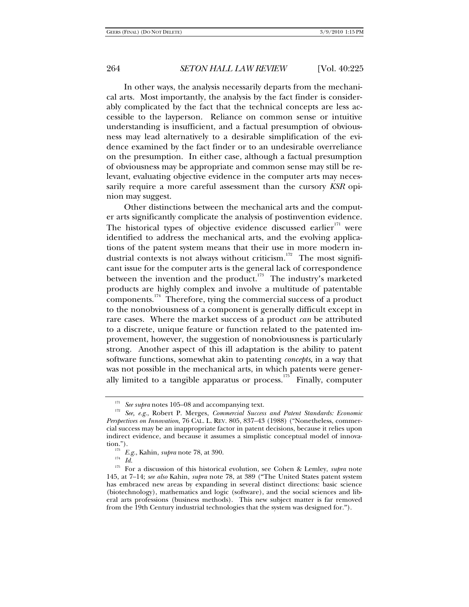In other ways, the analysis necessarily departs from the mechanical arts. Most importantly, the analysis by the fact finder is considerably complicated by the fact that the technical concepts are less accessible to the layperson. Reliance on common sense or intuitive understanding is insufficient, and a factual presumption of obviousness may lead alternatively to a desirable simplification of the evidence examined by the fact finder or to an undesirable overreliance on the presumption. In either case, although a factual presumption of obviousness may be appropriate and common sense may still be relevant, evaluating objective evidence in the computer arts may necessarily require a more careful assessment than the cursory *KSR* opinion may suggest.

Other distinctions between the mechanical arts and the computer arts significantly complicate the analysis of postinvention evidence. The historical types of objective evidence discussed earlier $171$  were identified to address the mechanical arts, and the evolving applications of the patent system means that their use in more modern industrial contexts is not always without criticism.<sup>172</sup> The most significant issue for the computer arts is the general lack of correspondence between the invention and the product.<sup>173</sup> The industry's marketed products are highly complex and involve a multitude of patentable components.174 Therefore, tying the commercial success of a product to the nonobviousness of a component is generally difficult except in rare cases. Where the market success of a product *can* be attributed to a discrete, unique feature or function related to the patented improvement, however, the suggestion of nonobviousness is particularly strong. Another aspect of this ill adaptation is the ability to patent software functions, somewhat akin to patenting *concepts*, in a way that was not possible in the mechanical arts, in which patents were generally limited to a tangible apparatus or process.<sup>175</sup> Finally, computer

<sup>&</sup>lt;sup>171</sup> See supra notes 105–08 and accompanying text.<br><sup>172</sup> See, e.g., Robert P. Merges, *Commercial Success and Patent Standards: Economic Perspectives on Innovation*, 76 CAL. L. REV. 805, 837–43 (1988) ("Nonetheless, commercial success may be an inappropriate factor in patent decisions, because it relies upon indirect evidence, and because it assumes a simplistic conceptual model of innovation."). 173 *E.g.*, Kahin, *supra* note 78, at 390. 174 *Id.*

<sup>175</sup> For a discussion of this historical evolution, see Cohen & Lemley, *supra* note 145, at 7–14; *see also* Kahin, *supra* note 78, at 389 ("The United States patent system has embraced new areas by expanding in several distinct directions: basic science (biotechnology), mathematics and logic (software), and the social sciences and liberal arts professions (business methods). This new subject matter is far removed from the 19th Century industrial technologies that the system was designed for.").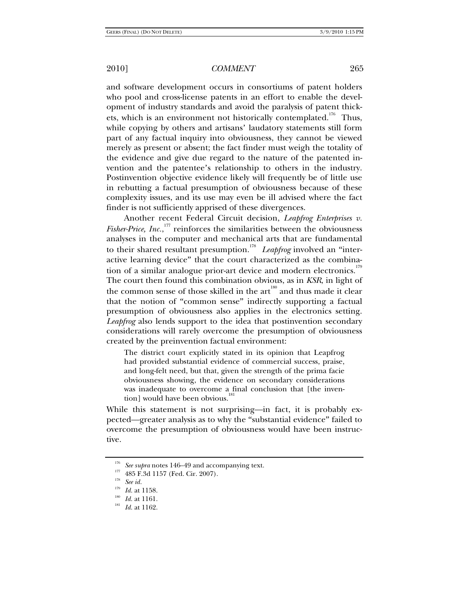and software development occurs in consortiums of patent holders who pool and cross-license patents in an effort to enable the development of industry standards and avoid the paralysis of patent thickets, which is an environment not historically contemplated.<sup>176</sup> Thus, while copying by others and artisans' laudatory statements still form part of any factual inquiry into obviousness, they cannot be viewed merely as present or absent; the fact finder must weigh the totality of the evidence and give due regard to the nature of the patented invention and the patentee's relationship to others in the industry. Postinvention objective evidence likely will frequently be of little use in rebutting a factual presumption of obviousness because of these complexity issues, and its use may even be ill advised where the fact finder is not sufficiently apprised of these divergences.

Another recent Federal Circuit decision, *Leapfrog Enterprises v. Fisher-Price, Inc.*,<sup>177</sup> reinforces the similarities between the obviousness analyses in the computer and mechanical arts that are fundamental to their shared resultant presumption.<sup>178</sup> Leapfrog involved an "interactive learning device" that the court characterized as the combination of a similar analogue prior-art device and modern electronics.<sup>179</sup> The court then found this combination obvious, as in *KSR*, in light of the common sense of those skilled in the art<sup>180</sup> and thus made it clear that the notion of "common sense" indirectly supporting a factual presumption of obviousness also applies in the electronics setting. *Leapfrog* also lends support to the idea that postinvention secondary considerations will rarely overcome the presumption of obviousness created by the preinvention factual environment:

The district court explicitly stated in its opinion that Leapfrog had provided substantial evidence of commercial success, praise, and long-felt need, but that, given the strength of the prima facie obviousness showing, the evidence on secondary considerations was inadequate to overcome a final conclusion that [the invention] would have been obvious.<sup>1</sup>

While this statement is not surprising—in fact, it is probably expected—greater analysis as to why the "substantial evidence" failed to overcome the presumption of obviousness would have been instructive.

<sup>&</sup>lt;sup>176</sup> See supra notes 146–49 and accompanying text.<br><sup>177</sup> 485 F.3d 1157 (Fed. Cir. 2007).<br><sup>178</sup> See id.<br>*179* Id. at 1158.

<sup>&</sup>lt;sup>180</sup> *Id.* at 1161.<br><sup>181</sup> *Id.* at 1162.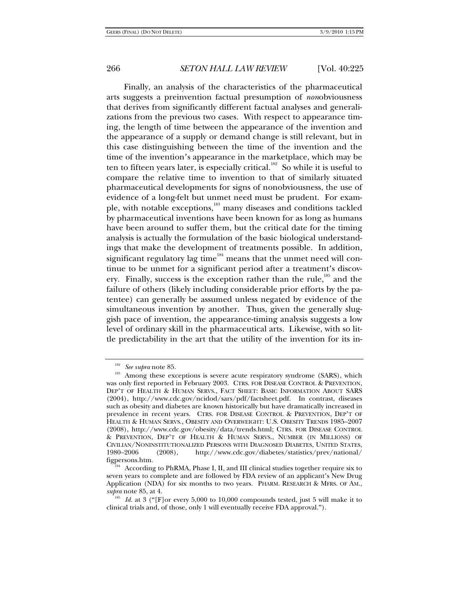Finally, an analysis of the characteristics of the pharmaceutical arts suggests a preinvention factual presumption of *non*obviousness that derives from significantly different factual analyses and generalizations from the previous two cases. With respect to appearance timing, the length of time between the appearance of the invention and the appearance of a supply or demand change is still relevant, but in this case distinguishing between the time of the invention and the time of the invention's appearance in the marketplace, which may be ten to fifteen years later, is especially critical.<sup>182</sup> So while it is useful to compare the relative time to invention to that of similarly situated pharmaceutical developments for signs of nonobviousness, the use of evidence of a long-felt but unmet need must be prudent. For example, with notable exceptions,<sup>183</sup> many diseases and conditions tackled by pharmaceutical inventions have been known for as long as humans have been around to suffer them, but the critical date for the timing analysis is actually the formulation of the basic biological understandings that make the development of treatments possible. In addition, significant regulatory lag time $184$  means that the unmet need will continue to be unmet for a significant period after a treatment's discovery. Finally, success is the exception rather than the rule,<sup>185</sup> and the failure of others (likely including considerable prior efforts by the patentee) can generally be assumed unless negated by evidence of the simultaneous invention by another. Thus, given the generally sluggish pace of invention, the appearance-timing analysis suggests a low level of ordinary skill in the pharmaceutical arts. Likewise, with so little predictability in the art that the utility of the invention for its in-

<sup>&</sup>lt;sup>182</sup> See supra note 85.<br><sup>183</sup> Among these exceptions is severe acute respiratory syndrome (SARS), which was only first reported in February 2003. CTRS. FOR DISEASE CONTROL & PREVENTION, DEP'T OF HEALTH & HUMAN SERVS., FACT SHEET: BASIC INFORMATION ABOUT SARS (2004), http://www.cdc.gov/ncidod/sars/pdf/factsheet.pdf. In contrast, diseases such as obesity and diabetes are known historically but have dramatically increased in prevalence in recent years. CTRS. FOR DISEASE CONTROL & PREVENTION, DEP'T OF HEALTH & HUMAN SERVS., OBESITY AND OVERWEIGHT: U.S. OBESITY TRENDS 1985–2007 (2008), http://www.cdc.gov/obesity/data/trends.html; CTRS. FOR DISEASE CONTROL & PREVENTION, DEP'T OF HEALTH & HUMAN SERVS., NUMBER (IN MILLIONS) OF CIVILIAN/NONINSTITUTIONALIZED PERSONS WITH DIAGNOSED DIABETES, UNITED STATES, 1980–2006 (2008), http://www.cdc.gov/diabetes/statistics/prev/national/

 $f_{\rm js4}$  According to PhRMA, Phase I, II, and III clinical studies together require six to seven years to complete and are followed by FDA review of an applicant's New Drug Application (NDA) for six months to two years. PHARM. RESEARCH & MFRS. OF AM., *supra* note 85, at 4. 185 *Id.* at 3 ("[F]or every 5,000 to 10,000 compounds tested, just 5 will make it to

clinical trials and, of those, only 1 will eventually receive FDA approval.").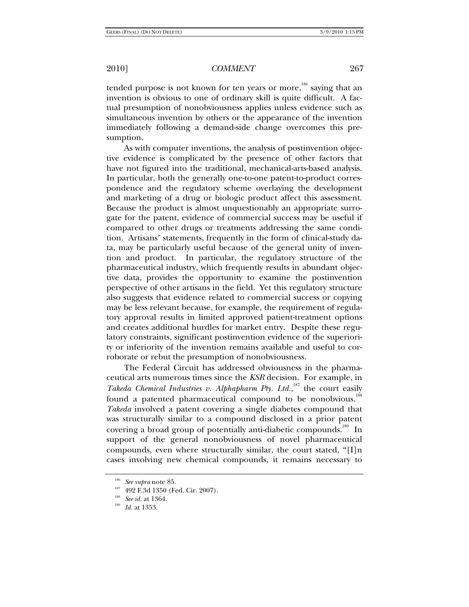tended purpose is not known for ten years or more,<sup>186</sup> saying that an invention is obvious to one of ordinary skill is quite difficult. A factual presumption of nonobviousness applies unless evidence such as simultaneous invention by others or the appearance of the invention immediately following a demand-side change overcomes this presumption.

As with computer inventions, the analysis of postinvention objective evidence is complicated by the presence of other factors that have not figured into the traditional, mechanical-arts-based analysis. In particular, both the generally one-to-one patent-to-product correspondence and the regulatory scheme overlaying the development and marketing of a drug or biologic product affect this assessment. Because the product is almost unquestionably an appropriate surrogate for the patent, evidence of commercial success may be useful if compared to other drugs or treatments addressing the same condition. Artisans' statements, frequently in the form of clinical-study data, may be particularly useful because of the general unity of invention and product. In particular, the regulatory structure of the pharmaceutical industry, which frequently results in abundant objective data, provides the opportunity to examine the postinvention perspective of other artisans in the field. Yet this regulatory structure also suggests that evidence related to commercial success or copying may be less relevant because, for example, the requirement of regulatory approval results in limited approved patient-treatment options and creates additional hurdles for market entry. Despite these regulatory constraints, significant postinvention evidence of the superiority or inferiority of the invention remains available and useful to corroborate or rebut the presumption of nonobviousness.

The Federal Circuit has addressed obviousness in the pharmaceutical arts numerous times since the *KSR* decision. For example, in Takeda Chemical Industries v. Alphapharm Pty. Ltd.,<sup>187</sup> the court easily found a patented pharmaceutical compound to be nonobvious.<sup>188</sup> *Takeda* involved a patent covering a single diabetes compound that was structurally similar to a compound disclosed in a prior patent covering a broad group of potentially anti-diabetic compounds.<sup>189</sup> In support of the general nonobviousness of novel pharmaceutical compounds, even where structurally similar, the court stated, "[I]n cases involving new chemical compounds, it remains necessary to

<sup>186</sup> *See supra* note 85. 187 492 F.3d 1350 (Fed. Cir. 2007). 188 *See id.* at 1364. 189 *Id.* at 1353.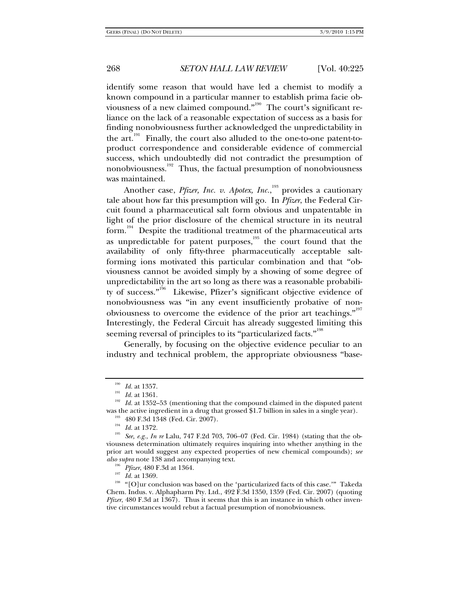identify some reason that would have led a chemist to modify a known compound in a particular manner to establish prima facie obviousness of a new claimed compound."<sup>190</sup> The court's significant reliance on the lack of a reasonable expectation of success as a basis for finding nonobviousness further acknowledged the unpredictability in the  $art.^{191}$ . Finally, the court also alluded to the one-to-one patent-toproduct correspondence and considerable evidence of commercial success, which undoubtedly did not contradict the presumption of nonobviousness.<sup>192</sup> Thus, the factual presumption of nonobviousness was maintained.

Another case, *Pfizer, Inc. v. Apotex, Inc.*,<sup>193</sup> provides a cautionary tale about how far this presumption will go. In *Pfizer*, the Federal Circuit found a pharmaceutical salt form obvious and unpatentable in light of the prior disclosure of the chemical structure in its neutral form.<sup>194</sup> Despite the traditional treatment of the pharmaceutical arts as unpredictable for patent purposes,<sup>195</sup> the court found that the availability of only fifty-three pharmaceutically acceptable saltforming ions motivated this particular combination and that "obviousness cannot be avoided simply by a showing of some degree of unpredictability in the art so long as there was a reasonable probability of success."<sup>196</sup> Likewise, Pfizer's significant objective evidence of nonobviousness was "in any event insufficiently probative of nonobviousness to overcome the evidence of the prior art teachings."<sup>197</sup> Interestingly, the Federal Circuit has already suggested limiting this seeming reversal of principles to its "particularized facts."<sup>198</sup>

Generally, by focusing on the objective evidence peculiar to an industry and technical problem, the appropriate obviousness "base-

<sup>&</sup>lt;sup>190</sup> *Id.* at 1357.<br><sup>191</sup> *Id.* at 1361.<br><sup>192</sup> *Id.* at 1352–53 (mentioning that the compound claimed in the disputed patent was the active ingredient in a drug that grossed \$1.7 billion in sales in a single year).<br><sup>193</sup> 480 F.3d 1348 (Fed. Cir. 2007).<br><sup>194</sup> *Id.* at 1372.<br><sup>195</sup> *See, e.g., In re* Lalu, 747 F.2d 703, 706–07 (Fed. Cir. 1984) (st

viousness determination ultimately requires inquiring into whether anything in the prior art would suggest any expected properties of new chemical compounds); *see* 

*also supra* note 138 and accompanying text.<br><sup>196</sup> *Pfizer*, 480 F.3d at 1364.<br><sup>198</sup> "[O]ur conclusion was based on the 'particularized facts of this case.'" Takeda Chem. Indus. v. Alphapharm Pty. Ltd., 492 F.3d 1350, 1359 (Fed. Cir. 2007) (quoting *Pfizer*, 480 F.3d at 1367). Thus it seems that this is an instance in which other inventive circumstances would rebut a factual presumption of nonobviousness.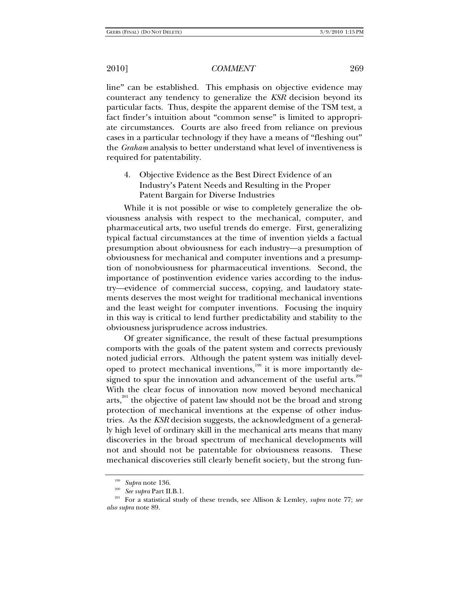line" can be established. This emphasis on objective evidence may counteract any tendency to generalize the *KSR* decision beyond its particular facts. Thus, despite the apparent demise of the TSM test, a fact finder's intuition about "common sense" is limited to appropriate circumstances. Courts are also freed from reliance on previous cases in a particular technology if they have a means of "fleshing out" the *Graham* analysis to better understand what level of inventiveness is required for patentability.

4. Objective Evidence as the Best Direct Evidence of an Industry's Patent Needs and Resulting in the Proper Patent Bargain for Diverse Industries

While it is not possible or wise to completely generalize the obviousness analysis with respect to the mechanical, computer, and pharmaceutical arts, two useful trends do emerge. First, generalizing typical factual circumstances at the time of invention yields a factual presumption about obviousness for each industry—a presumption of obviousness for mechanical and computer inventions and a presumption of nonobviousness for pharmaceutical inventions. Second, the importance of postinvention evidence varies according to the industry—evidence of commercial success, copying, and laudatory statements deserves the most weight for traditional mechanical inventions and the least weight for computer inventions. Focusing the inquiry in this way is critical to lend further predictability and stability to the obviousness jurisprudence across industries.

Of greater significance, the result of these factual presumptions comports with the goals of the patent system and corrects previously noted judicial errors. Although the patent system was initially developed to protect mechanical inventions,<sup>199</sup> it is more importantly designed to spur the innovation and advancement of the useful arts. $200$ With the clear focus of innovation now moved beyond mechanical arts, $^{201}$  the objective of patent law should not be the broad and strong protection of mechanical inventions at the expense of other industries. As the *KSR* decision suggests, the acknowledgment of a generally high level of ordinary skill in the mechanical arts means that many discoveries in the broad spectrum of mechanical developments will not and should not be patentable for obviousness reasons. These mechanical discoveries still clearly benefit society, but the strong fun-

<sup>199</sup> *Supra* note 136. 200 *See supra* Part II.B.1. 201 For a statistical study of these trends, see Allison & Lemley, *supra* note 77; *see also supra* note 89.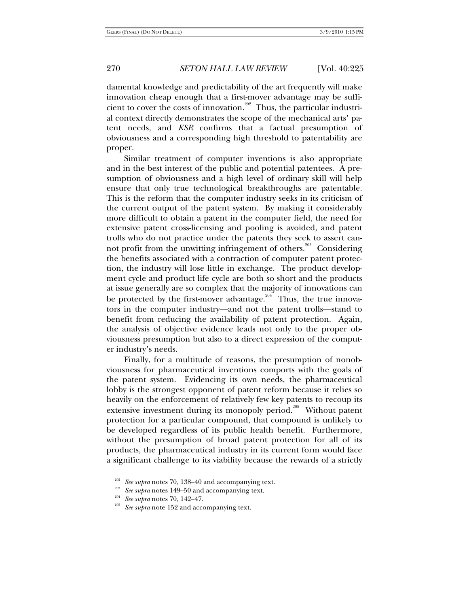damental knowledge and predictability of the art frequently will make innovation cheap enough that a first-mover advantage may be sufficient to cover the costs of innovation.<sup>202</sup> Thus, the particular industrial context directly demonstrates the scope of the mechanical arts' patent needs, and *KSR* confirms that a factual presumption of obviousness and a corresponding high threshold to patentability are proper.

Similar treatment of computer inventions is also appropriate and in the best interest of the public and potential patentees. A presumption of obviousness and a high level of ordinary skill will help ensure that only true technological breakthroughs are patentable. This is the reform that the computer industry seeks in its criticism of the current output of the patent system. By making it considerably more difficult to obtain a patent in the computer field, the need for extensive patent cross-licensing and pooling is avoided, and patent trolls who do not practice under the patents they seek to assert cannot profit from the unwitting infringement of others.<sup>203</sup> Considering the benefits associated with a contraction of computer patent protection, the industry will lose little in exchange. The product development cycle and product life cycle are both so short and the products at issue generally are so complex that the majority of innovations can be protected by the first-mover advantage.<sup>204</sup> Thus, the true innovators in the computer industry—and not the patent trolls—stand to benefit from reducing the availability of patent protection. Again, the analysis of objective evidence leads not only to the proper obviousness presumption but also to a direct expression of the computer industry's needs.

Finally, for a multitude of reasons, the presumption of nonobviousness for pharmaceutical inventions comports with the goals of the patent system. Evidencing its own needs, the pharmaceutical lobby is the strongest opponent of patent reform because it relies so heavily on the enforcement of relatively few key patents to recoup its extensive investment during its monopoly period.<sup>205</sup> Without patent protection for a particular compound, that compound is unlikely to be developed regardless of its public health benefit. Furthermore, without the presumption of broad patent protection for all of its products, the pharmaceutical industry in its current form would face a significant challenge to its viability because the rewards of a strictly

<sup>&</sup>lt;sup>202</sup> See supra notes 70, 138–40 and accompanying text.<br><sup>203</sup> See supra notes 149–50 and accompanying text.<br><sup>204</sup> See supra note 152 and accompanying text.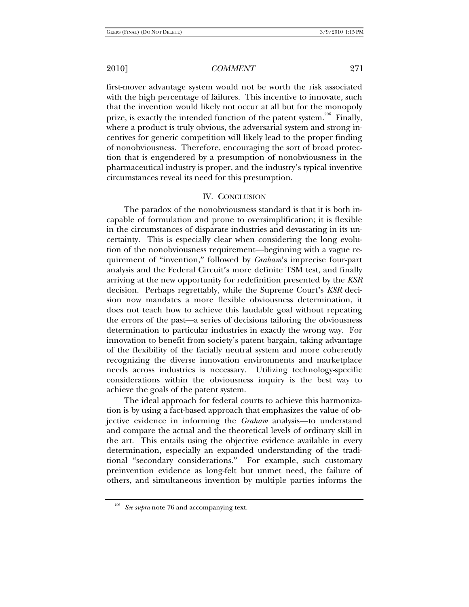first-mover advantage system would not be worth the risk associated with the high percentage of failures. This incentive to innovate, such that the invention would likely not occur at all but for the monopoly prize, is exactly the intended function of the patent system.<sup>206</sup> Finally, where a product is truly obvious, the adversarial system and strong incentives for generic competition will likely lead to the proper finding of nonobviousness. Therefore, encouraging the sort of broad protection that is engendered by a presumption of nonobviousness in the pharmaceutical industry is proper, and the industry's typical inventive circumstances reveal its need for this presumption.

#### IV. CONCLUSION

The paradox of the nonobviousness standard is that it is both incapable of formulation and prone to oversimplification; it is flexible in the circumstances of disparate industries and devastating in its uncertainty. This is especially clear when considering the long evolution of the nonobviousness requirement—beginning with a vague requirement of "invention," followed by *Graham*'s imprecise four-part analysis and the Federal Circuit's more definite TSM test, and finally arriving at the new opportunity for redefinition presented by the *KSR* decision. Perhaps regrettably, while the Supreme Court's *KSR* decision now mandates a more flexible obviousness determination, it does not teach how to achieve this laudable goal without repeating the errors of the past—a series of decisions tailoring the obviousness determination to particular industries in exactly the wrong way. For innovation to benefit from society's patent bargain, taking advantage of the flexibility of the facially neutral system and more coherently recognizing the diverse innovation environments and marketplace needs across industries is necessary. Utilizing technology-specific considerations within the obviousness inquiry is the best way to achieve the goals of the patent system.

The ideal approach for federal courts to achieve this harmonization is by using a fact-based approach that emphasizes the value of objective evidence in informing the *Graham* analysis—to understand and compare the actual and the theoretical levels of ordinary skill in the art. This entails using the objective evidence available in every determination, especially an expanded understanding of the traditional "secondary considerations." For example, such customary preinvention evidence as long-felt but unmet need, the failure of others, and simultaneous invention by multiple parties informs the

<sup>206</sup> *See supra* note 76 and accompanying text.